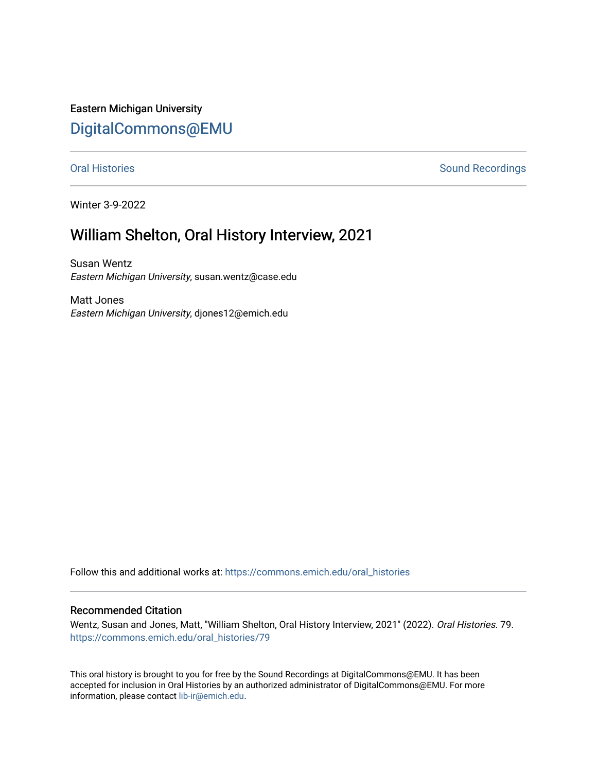Eastern Michigan University [DigitalCommons@EMU](https://commons.emich.edu/) 

[Oral Histories](https://commons.emich.edu/oral_histories) **Sound Recordings** Sound Recordings

Winter 3-9-2022

# William Shelton, Oral History Interview, 2021

Susan Wentz Eastern Michigan University, susan.wentz@case.edu

Matt Jones Eastern Michigan University, djones12@emich.edu

Follow this and additional works at: [https://commons.emich.edu/oral\\_histories](https://commons.emich.edu/oral_histories?utm_source=commons.emich.edu%2Foral_histories%2F79&utm_medium=PDF&utm_campaign=PDFCoverPages) 

### Recommended Citation

Wentz, Susan and Jones, Matt, "William Shelton, Oral History Interview, 2021" (2022). Oral Histories. 79. [https://commons.emich.edu/oral\\_histories/79](https://commons.emich.edu/oral_histories/79?utm_source=commons.emich.edu%2Foral_histories%2F79&utm_medium=PDF&utm_campaign=PDFCoverPages)

This oral history is brought to you for free by the Sound Recordings at DigitalCommons@EMU. It has been accepted for inclusion in Oral Histories by an authorized administrator of DigitalCommons@EMU. For more information, please contact [lib-ir@emich.edu](mailto:lib-ir@emich.edu).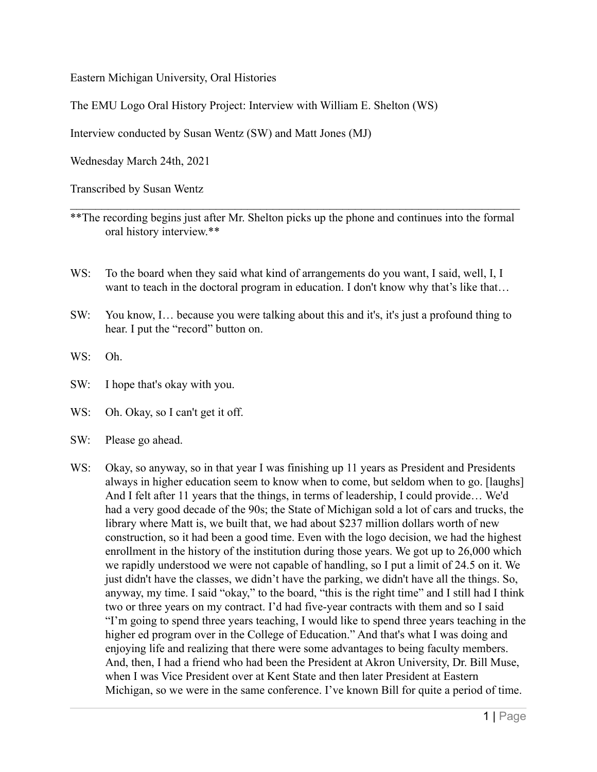Eastern Michigan University, Oral Histories

The EMU Logo Oral History Project: Interview with William E. Shelton (WS)

Interview conducted by Susan Wentz (SW) and Matt Jones (MJ)

Wednesday March 24th, 2021

Transcribed by Susan Wentz

- \*\*The recording begins just after Mr. Shelton picks up the phone and continues into the formal oral history interview.\*\*
- WS: To the board when they said what kind of arrangements do you want, I said, well, I, I want to teach in the doctoral program in education. I don't know why that's like that...
- SW: You know, I… because you were talking about this and it's, it's just a profound thing to hear. I put the "record" button on.
- WS: Oh.
- SW: I hope that's okay with you.
- WS: Oh. Okay, so I can't get it off.
- SW: Please go ahead.
- WS: Okay, so anyway, so in that year I was finishing up 11 years as President and Presidents always in higher education seem to know when to come, but seldom when to go. [laughs] And I felt after 11 years that the things, in terms of leadership, I could provide… We'd had a very good decade of the 90s; the State of Michigan sold a lot of cars and trucks, the library where Matt is, we built that, we had about \$237 million dollars worth of new construction, so it had been a good time. Even with the logo decision, we had the highest enrollment in the history of the institution during those years. We got up to 26,000 which we rapidly understood we were not capable of handling, so I put a limit of 24.5 on it. We just didn't have the classes, we didn't have the parking, we didn't have all the things. So, anyway, my time. I said "okay," to the board, "this is the right time" and I still had I think two or three years on my contract. I'd had five-year contracts with them and so I said "I'm going to spend three years teaching, I would like to spend three years teaching in the higher ed program over in the College of Education." And that's what I was doing and enjoying life and realizing that there were some advantages to being faculty members. And, then, I had a friend who had been the President at Akron University, Dr. Bill Muse, when I was Vice President over at Kent State and then later President at Eastern Michigan, so we were in the same conference. I've known Bill for quite a period of time.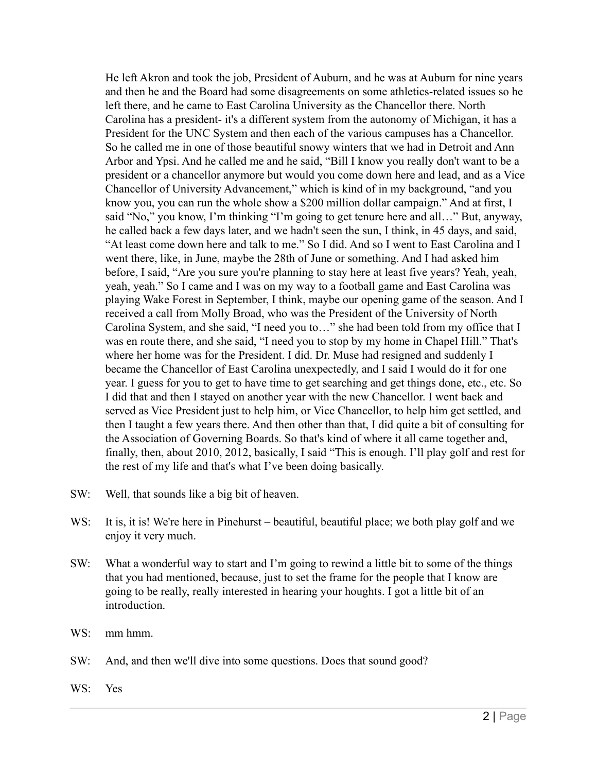He left Akron and took the job, President of Auburn, and he was at Auburn for nine years and then he and the Board had some disagreements on some athletics-related issues so he left there, and he came to East Carolina University as the Chancellor there. North Carolina has a president- it's a different system from the autonomy of Michigan, it has a President for the UNC System and then each of the various campuses has a Chancellor. So he called me in one of those beautiful snowy winters that we had in Detroit and Ann Arbor and Ypsi. And he called me and he said, "Bill I know you really don't want to be a president or a chancellor anymore but would you come down here and lead, and as a Vice Chancellor of University Advancement," which is kind of in my background, "and you know you, you can run the whole show a \$200 million dollar campaign." And at first, I said "No," you know, I'm thinking "I'm going to get tenure here and all…" But, anyway, he called back a few days later, and we hadn't seen the sun, I think, in 45 days, and said, "At least come down here and talk to me." So I did. And so I went to East Carolina and I went there, like, in June, maybe the 28th of June or something. And I had asked him before, I said, "Are you sure you're planning to stay here at least five years? Yeah, yeah, yeah, yeah." So I came and I was on my way to a football game and East Carolina was playing Wake Forest in September, I think, maybe our opening game of the season. And I received a call from Molly Broad, who was the President of the University of North Carolina System, and she said, "I need you to…" she had been told from my office that I was en route there, and she said, "I need you to stop by my home in Chapel Hill." That's where her home was for the President. I did. Dr. Muse had resigned and suddenly I became the Chancellor of East Carolina unexpectedly, and I said I would do it for one year. I guess for you to get to have time to get searching and get things done, etc., etc. So I did that and then I stayed on another year with the new Chancellor. I went back and served as Vice President just to help him, or Vice Chancellor, to help him get settled, and then I taught a few years there. And then other than that, I did quite a bit of consulting for the Association of Governing Boards. So that's kind of where it all came together and, finally, then, about 2010, 2012, basically, I said "This is enough. I'll play golf and rest for the rest of my life and that's what I've been doing basically.

- SW: Well, that sounds like a big bit of heaven.
- WS: It is, it is! We're here in Pinehurst beautiful, beautiful place; we both play golf and we enjoy it very much.
- SW: What a wonderful way to start and I'm going to rewind a little bit to some of the things that you had mentioned, because, just to set the frame for the people that I know are going to be really, really interested in hearing your houghts. I got a little bit of an introduction.
- WS: mm hmm.
- SW: And, and then we'll dive into some questions. Does that sound good?
- WS: Yes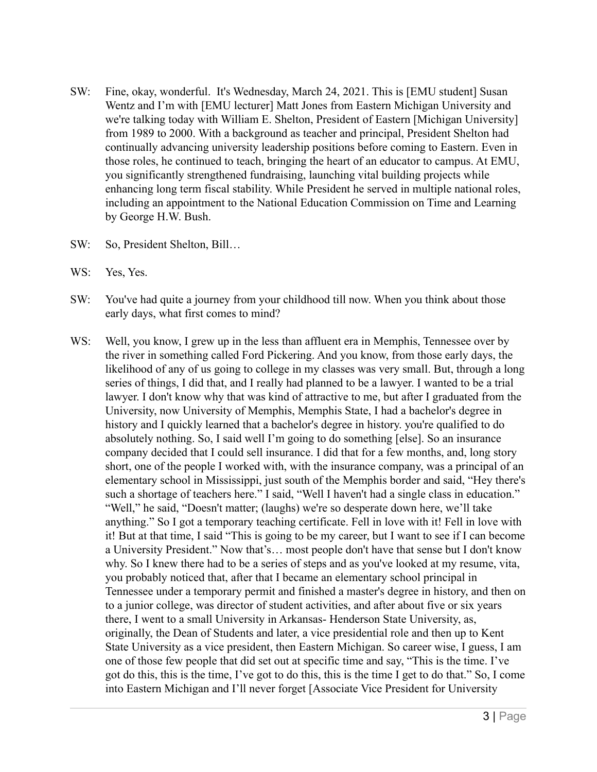- SW: Fine, okay, wonderful. It's Wednesday, March 24, 2021. This is [EMU student] Susan Wentz and I'm with [EMU lecturer] Matt Jones from Eastern Michigan University and we're talking today with William E. Shelton, President of Eastern [Michigan University] from 1989 to 2000. With a background as teacher and principal, President Shelton had continually advancing university leadership positions before coming to Eastern. Even in those roles, he continued to teach, bringing the heart of an educator to campus. At EMU, you significantly strengthened fundraising, launching vital building projects while enhancing long term fiscal stability. While President he served in multiple national roles, including an appointment to the National Education Commission on Time and Learning by George H.W. Bush.
- SW: So, President Shelton, Bill…
- WS: Yes, Yes.
- SW: You've had quite a journey from your childhood till now. When you think about those early days, what first comes to mind?
- WS: Well, you know, I grew up in the less than affluent era in Memphis, Tennessee over by the river in something called Ford Pickering. And you know, from those early days, the likelihood of any of us going to college in my classes was very small. But, through a long series of things, I did that, and I really had planned to be a lawyer. I wanted to be a trial lawyer. I don't know why that was kind of attractive to me, but after I graduated from the University, now University of Memphis, Memphis State, I had a bachelor's degree in history and I quickly learned that a bachelor's degree in history. you're qualified to do absolutely nothing. So, I said well I'm going to do something [else]. So an insurance company decided that I could sell insurance. I did that for a few months, and, long story short, one of the people I worked with, with the insurance company, was a principal of an elementary school in Mississippi, just south of the Memphis border and said, "Hey there's such a shortage of teachers here." I said, "Well I haven't had a single class in education." "Well," he said, "Doesn't matter; (laughs) we're so desperate down here, we'll take anything." So I got a temporary teaching certificate. Fell in love with it! Fell in love with it! But at that time, I said "This is going to be my career, but I want to see if I can become a University President." Now that's… most people don't have that sense but I don't know why. So I knew there had to be a series of steps and as you've looked at my resume, vita, you probably noticed that, after that I became an elementary school principal in Tennessee under a temporary permit and finished a master's degree in history, and then on to a junior college, was director of student activities, and after about five or six years there, I went to a small University in Arkansas- Henderson State University, as, originally, the Dean of Students and later, a vice presidential role and then up to Kent State University as a vice president, then Eastern Michigan. So career wise, I guess, I am one of those few people that did set out at specific time and say, "This is the time. I've got do this, this is the time, I've got to do this, this is the time I get to do that." So, I come into Eastern Michigan and I'll never forget [Associate Vice President for University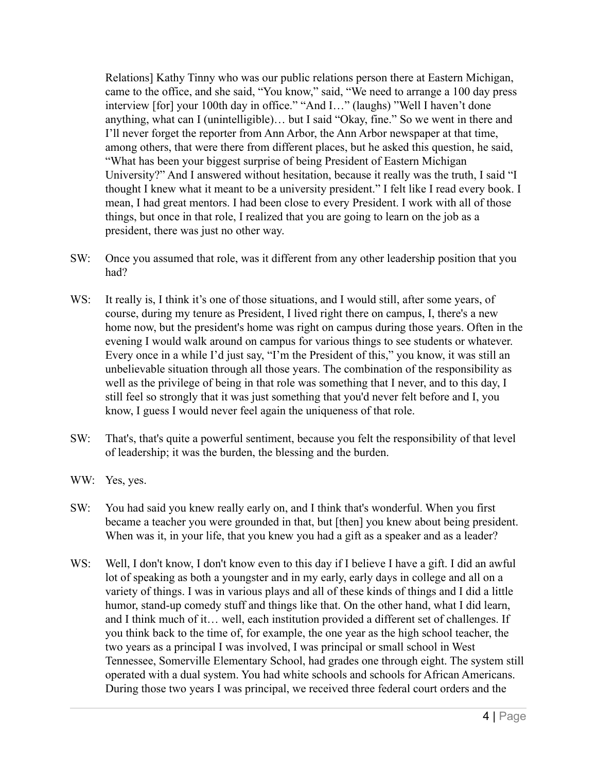Relations] Kathy Tinny who was our public relations person there at Eastern Michigan, came to the office, and she said, "You know," said, "We need to arrange a 100 day press interview [for] your 100th day in office." "And I…" (laughs) "Well I haven't done anything, what can I (unintelligible)… but I said "Okay, fine." So we went in there and I'll never forget the reporter from Ann Arbor, the Ann Arbor newspaper at that time, among others, that were there from different places, but he asked this question, he said, "What has been your biggest surprise of being President of Eastern Michigan University?" And I answered without hesitation, because it really was the truth, I said "I thought I knew what it meant to be a university president." I felt like I read every book. I mean, I had great mentors. I had been close to every President. I work with all of those things, but once in that role, I realized that you are going to learn on the job as a president, there was just no other way.

- SW: Once you assumed that role, was it different from any other leadership position that you had?
- WS: It really is, I think it's one of those situations, and I would still, after some years, of course, during my tenure as President, I lived right there on campus, I, there's a new home now, but the president's home was right on campus during those years. Often in the evening I would walk around on campus for various things to see students or whatever. Every once in a while I'd just say, "I'm the President of this," you know, it was still an unbelievable situation through all those years. The combination of the responsibility as well as the privilege of being in that role was something that I never, and to this day, I still feel so strongly that it was just something that you'd never felt before and I, you know, I guess I would never feel again the uniqueness of that role.
- SW: That's, that's quite a powerful sentiment, because you felt the responsibility of that level of leadership; it was the burden, the blessing and the burden.
- WW: Yes, yes.
- SW: You had said you knew really early on, and I think that's wonderful. When you first became a teacher you were grounded in that, but [then] you knew about being president. When was it, in your life, that you knew you had a gift as a speaker and as a leader?
- WS: Well, I don't know, I don't know even to this day if I believe I have a gift. I did an awful lot of speaking as both a youngster and in my early, early days in college and all on a variety of things. I was in various plays and all of these kinds of things and I did a little humor, stand-up comedy stuff and things like that. On the other hand, what I did learn, and I think much of it… well, each institution provided a different set of challenges. If you think back to the time of, for example, the one year as the high school teacher, the two years as a principal I was involved, I was principal or small school in West Tennessee, Somerville Elementary School, had grades one through eight. The system still operated with a dual system. You had white schools and schools for African Americans. During those two years I was principal, we received three federal court orders and the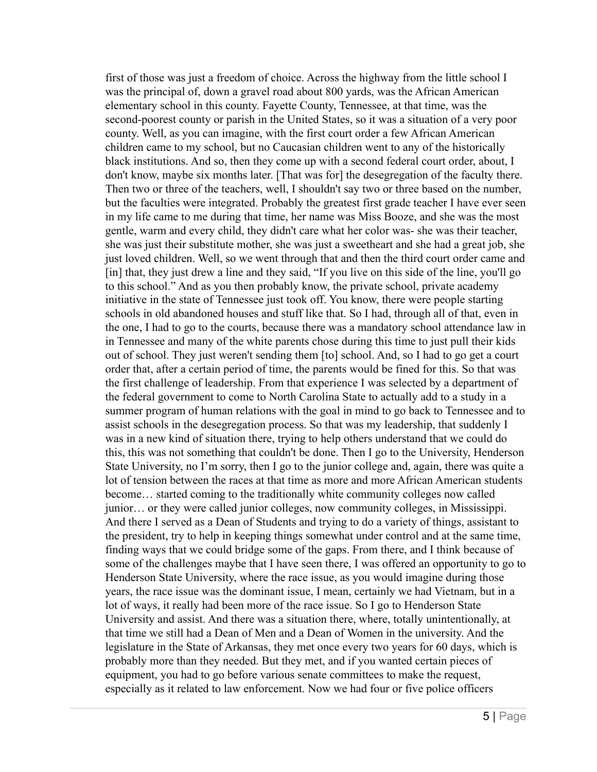first of those was just a freedom of choice. Across the highway from the little school I was the principal of, down a gravel road about 800 yards, was the African American elementary school in this county. Fayette County, Tennessee, at that time, was the second-poorest county or parish in the United States, so it was a situation of a very poor county. Well, as you can imagine, with the first court order a few African American children came to my school, but no Caucasian children went to any of the historically black institutions. And so, then they come up with a second federal court order, about, I don't know, maybe six months later. [That was for] the desegregation of the faculty there. Then two or three of the teachers, well, I shouldn't say two or three based on the number, but the faculties were integrated. Probably the greatest first grade teacher I have ever seen in my life came to me during that time, her name was Miss Booze, and she was the most gentle, warm and every child, they didn't care what her color was- she was their teacher, she was just their substitute mother, she was just a sweetheart and she had a great job, she just loved children. Well, so we went through that and then the third court order came and [in] that, they just drew a line and they said, "If you live on this side of the line, you'll go to this school." And as you then probably know, the private school, private academy initiative in the state of Tennessee just took off. You know, there were people starting schools in old abandoned houses and stuff like that. So I had, through all of that, even in the one, I had to go to the courts, because there was a mandatory school attendance law in in Tennessee and many of the white parents chose during this time to just pull their kids out of school. They just weren't sending them [to] school. And, so I had to go get a court order that, after a certain period of time, the parents would be fined for this. So that was the first challenge of leadership. From that experience I was selected by a department of the federal government to come to North Carolina State to actually add to a study in a summer program of human relations with the goal in mind to go back to Tennessee and to assist schools in the desegregation process. So that was my leadership, that suddenly I was in a new kind of situation there, trying to help others understand that we could do this, this was not something that couldn't be done. Then I go to the University, Henderson State University, no I'm sorry, then I go to the junior college and, again, there was quite a lot of tension between the races at that time as more and more African American students become… started coming to the traditionally white community colleges now called junior… or they were called junior colleges, now community colleges, in Mississippi. And there I served as a Dean of Students and trying to do a variety of things, assistant to the president, try to help in keeping things somewhat under control and at the same time, finding ways that we could bridge some of the gaps. From there, and I think because of some of the challenges maybe that I have seen there, I was offered an opportunity to go to Henderson State University, where the race issue, as you would imagine during those years, the race issue was the dominant issue, I mean, certainly we had Vietnam, but in a lot of ways, it really had been more of the race issue. So I go to Henderson State University and assist. And there was a situation there, where, totally unintentionally, at that time we still had a Dean of Men and a Dean of Women in the university. And the legislature in the State of Arkansas, they met once every two years for 60 days, which is probably more than they needed. But they met, and if you wanted certain pieces of equipment, you had to go before various senate committees to make the request, especially as it related to law enforcement. Now we had four or five police officers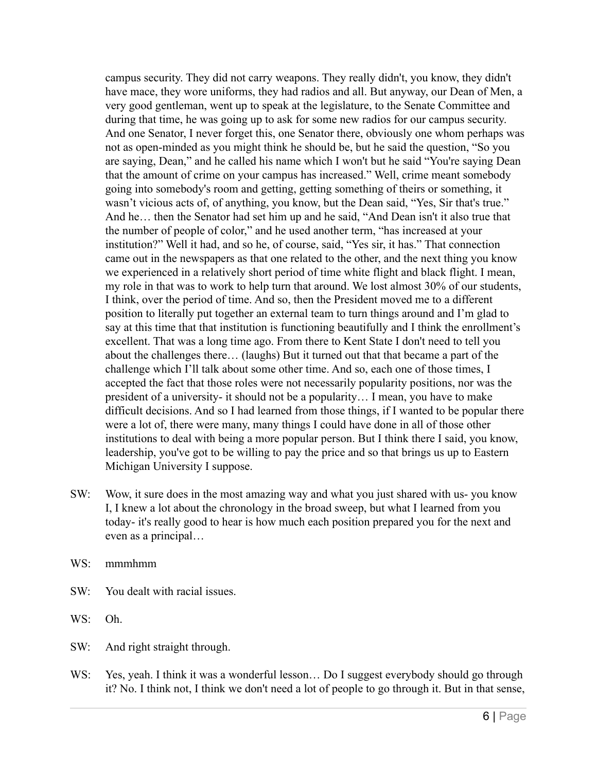campus security. They did not carry weapons. They really didn't, you know, they didn't have mace, they wore uniforms, they had radios and all. But anyway, our Dean of Men, a very good gentleman, went up to speak at the legislature, to the Senate Committee and during that time, he was going up to ask for some new radios for our campus security. And one Senator, I never forget this, one Senator there, obviously one whom perhaps was not as open-minded as you might think he should be, but he said the question, "So you are saying, Dean," and he called his name which I won't but he said "You're saying Dean that the amount of crime on your campus has increased." Well, crime meant somebody going into somebody's room and getting, getting something of theirs or something, it wasn't vicious acts of, of anything, you know, but the Dean said, "Yes, Sir that's true." And he… then the Senator had set him up and he said, "And Dean isn't it also true that the number of people of color," and he used another term, "has increased at your institution?" Well it had, and so he, of course, said, "Yes sir, it has." That connection came out in the newspapers as that one related to the other, and the next thing you know we experienced in a relatively short period of time white flight and black flight. I mean, my role in that was to work to help turn that around. We lost almost 30% of our students, I think, over the period of time. And so, then the President moved me to a different position to literally put together an external team to turn things around and I'm glad to say at this time that that institution is functioning beautifully and I think the enrollment's excellent. That was a long time ago. From there to Kent State I don't need to tell you about the challenges there… (laughs) But it turned out that that became a part of the challenge which I'll talk about some other time. And so, each one of those times, I accepted the fact that those roles were not necessarily popularity positions, nor was the president of a university- it should not be a popularity… I mean, you have to make difficult decisions. And so I had learned from those things, if I wanted to be popular there were a lot of, there were many, many things I could have done in all of those other institutions to deal with being a more popular person. But I think there I said, you know, leadership, you've got to be willing to pay the price and so that brings us up to Eastern Michigan University I suppose.

- SW: Wow, it sure does in the most amazing way and what you just shared with us- you know I, I knew a lot about the chronology in the broad sweep, but what I learned from you today- it's really good to hear is how much each position prepared you for the next and even as a principal…
- WS: mmmhmm
- SW: You dealt with racial issues.
- WS: Oh.
- SW: And right straight through.
- WS: Yes, yeah. I think it was a wonderful lesson... Do I suggest everybody should go through it? No. I think not, I think we don't need a lot of people to go through it. But in that sense,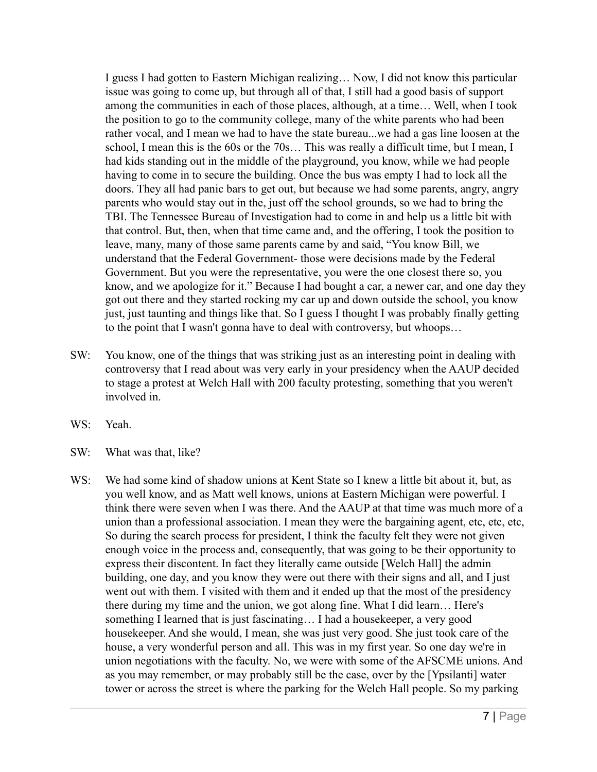I guess I had gotten to Eastern Michigan realizing… Now, I did not know this particular issue was going to come up, but through all of that, I still had a good basis of support among the communities in each of those places, although, at a time… Well, when I took the position to go to the community college, many of the white parents who had been rather vocal, and I mean we had to have the state bureau...we had a gas line loosen at the school, I mean this is the 60s or the 70s… This was really a difficult time, but I mean, I had kids standing out in the middle of the playground, you know, while we had people having to come in to secure the building. Once the bus was empty I had to lock all the doors. They all had panic bars to get out, but because we had some parents, angry, angry parents who would stay out in the, just off the school grounds, so we had to bring the TBI. The Tennessee Bureau of Investigation had to come in and help us a little bit with that control. But, then, when that time came and, and the offering, I took the position to leave, many, many of those same parents came by and said, "You know Bill, we understand that the Federal Government- those were decisions made by the Federal Government. But you were the representative, you were the one closest there so, you know, and we apologize for it." Because I had bought a car, a newer car, and one day they got out there and they started rocking my car up and down outside the school, you know just, just taunting and things like that. So I guess I thought I was probably finally getting to the point that I wasn't gonna have to deal with controversy, but whoops…

- SW: You know, one of the things that was striking just as an interesting point in dealing with controversy that I read about was very early in your presidency when the AAUP decided to stage a protest at Welch Hall with 200 faculty protesting, something that you weren't involved in.
- WS: Yeah.
- SW: What was that, like?
- WS: We had some kind of shadow unions at Kent State so I knew a little bit about it, but, as you well know, and as Matt well knows, unions at Eastern Michigan were powerful. I think there were seven when I was there. And the AAUP at that time was much more of a union than a professional association. I mean they were the bargaining agent, etc, etc, etc, So during the search process for president, I think the faculty felt they were not given enough voice in the process and, consequently, that was going to be their opportunity to express their discontent. In fact they literally came outside [Welch Hall] the admin building, one day, and you know they were out there with their signs and all, and I just went out with them. I visited with them and it ended up that the most of the presidency there during my time and the union, we got along fine. What I did learn… Here's something I learned that is just fascinating… I had a housekeeper, a very good housekeeper. And she would, I mean, she was just very good. She just took care of the house, a very wonderful person and all. This was in my first year. So one day we're in union negotiations with the faculty. No, we were with some of the AFSCME unions. And as you may remember, or may probably still be the case, over by the [Ypsilanti] water tower or across the street is where the parking for the Welch Hall people. So my parking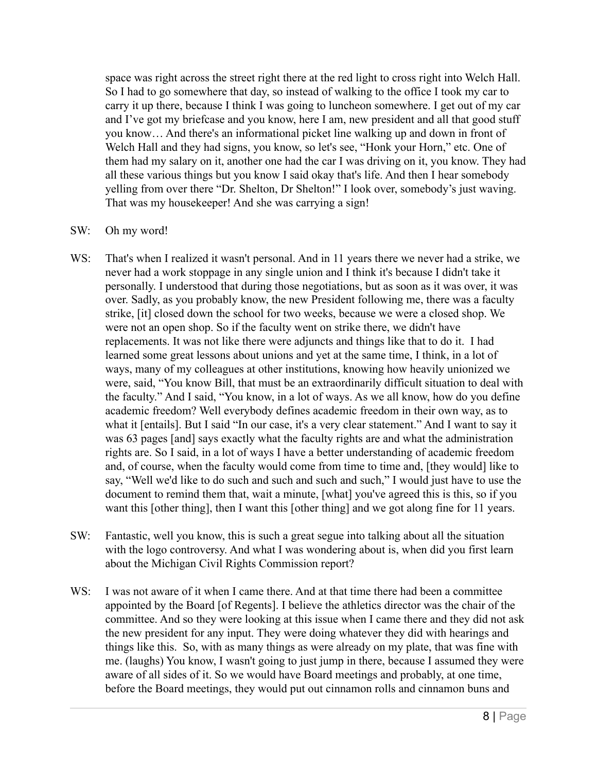space was right across the street right there at the red light to cross right into Welch Hall. So I had to go somewhere that day, so instead of walking to the office I took my car to carry it up there, because I think I was going to luncheon somewhere. I get out of my car and I've got my briefcase and you know, here I am, new president and all that good stuff you know… And there's an informational picket line walking up and down in front of Welch Hall and they had signs, you know, so let's see, "Honk your Horn," etc. One of them had my salary on it, another one had the car I was driving on it, you know. They had all these various things but you know I said okay that's life. And then I hear somebody yelling from over there "Dr. Shelton, Dr Shelton!" I look over, somebody's just waving. That was my housekeeper! And she was carrying a sign!

# SW: Oh my word!

- WS: That's when I realized it wasn't personal. And in 11 years there we never had a strike, we never had a work stoppage in any single union and I think it's because I didn't take it personally. I understood that during those negotiations, but as soon as it was over, it was over. Sadly, as you probably know, the new President following me, there was a faculty strike, [it] closed down the school for two weeks, because we were a closed shop. We were not an open shop. So if the faculty went on strike there, we didn't have replacements. It was not like there were adjuncts and things like that to do it. I had learned some great lessons about unions and yet at the same time, I think, in a lot of ways, many of my colleagues at other institutions, knowing how heavily unionized we were, said, "You know Bill, that must be an extraordinarily difficult situation to deal with the faculty." And I said, "You know, in a lot of ways. As we all know, how do you define academic freedom? Well everybody defines academic freedom in their own way, as to what it [entails]. But I said "In our case, it's a very clear statement." And I want to say it was 63 pages [and] says exactly what the faculty rights are and what the administration rights are. So I said, in a lot of ways I have a better understanding of academic freedom and, of course, when the faculty would come from time to time and, [they would] like to say, "Well we'd like to do such and such and such and such," I would just have to use the document to remind them that, wait a minute, [what] you've agreed this is this, so if you want this [other thing], then I want this [other thing] and we got along fine for 11 years.
- SW: Fantastic, well you know, this is such a great segue into talking about all the situation with the logo controversy. And what I was wondering about is, when did you first learn about the Michigan Civil Rights Commission report?
- WS: I was not aware of it when I came there. And at that time there had been a committee appointed by the Board [of Regents]. I believe the athletics director was the chair of the committee. And so they were looking at this issue when I came there and they did not ask the new president for any input. They were doing whatever they did with hearings and things like this. So, with as many things as were already on my plate, that was fine with me. (laughs) You know, I wasn't going to just jump in there, because I assumed they were aware of all sides of it. So we would have Board meetings and probably, at one time, before the Board meetings, they would put out cinnamon rolls and cinnamon buns and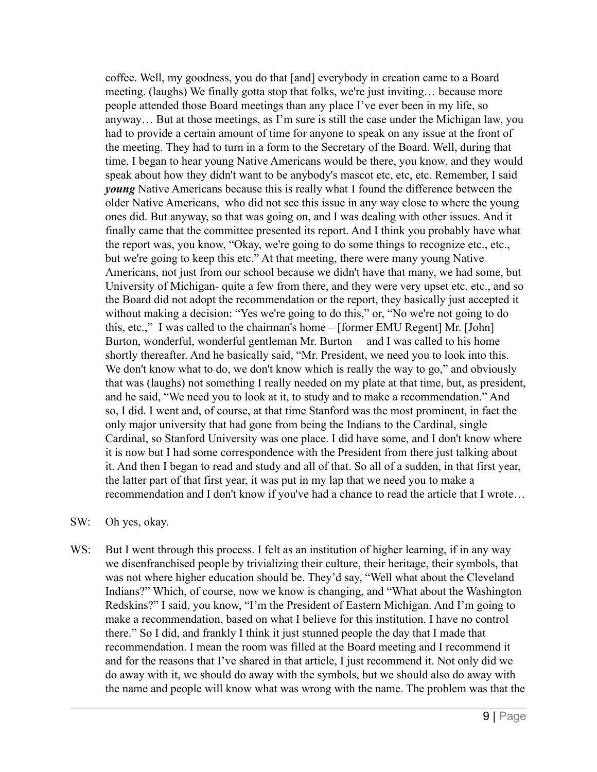coffee. Well, my goodness, you do that [and] everybody in creation came to a Board meeting. (laughs) We finally gotta stop that folks, we're just inviting… because more people attended those Board meetings than any place I've ever been in my life, so anyway… But at those meetings, as I'm sure is still the case under the Michigan law, you had to provide a certain amount of time for anyone to speak on any issue at the front of the meeting. They had to turn in a form to the Secretary of the Board. Well, during that time, I began to hear young Native Americans would be there, you know, and they would speak about how they didn't want to be anybody's mascot etc, etc, etc. Remember, I said *young* Native Americans because this is really what I found the difference between the older Native Americans, who did not see this issue in any way close to where the young ones did. But anyway, so that was going on, and I was dealing with other issues. And it finally came that the committee presented its report. And I think you probably have what the report was, you know, "Okay, we're going to do some things to recognize etc., etc., but we're going to keep this etc." At that meeting, there were many young Native Americans, not just from our school because we didn't have that many, we had some, but University of Michigan- quite a few from there, and they were very upset etc. etc., and so the Board did not adopt the recommendation or the report, they basically just accepted it without making a decision: "Yes we're going to do this," or, "No we're not going to do this, etc.," I was called to the chairman's home – [former EMU Regent] Mr. [John] Burton, wonderful, wonderful gentleman Mr. Burton – and I was called to his home shortly thereafter. And he basically said, "Mr. President, we need you to look into this. We don't know what to do, we don't know which is really the way to go," and obviously that was (laughs) not something I really needed on my plate at that time, but, as president, and he said, "We need you to look at it, to study and to make a recommendation." And so, I did. I went and, of course, at that time Stanford was the most prominent, in fact the only major university that had gone from being the Indians to the Cardinal, single Cardinal, so Stanford University was one place. I did have some, and I don't know where it is now but I had some correspondence with the President from there just talking about it. And then I began to read and study and all of that. So all of a sudden, in that first year, the latter part of that first year, it was put in my lap that we need you to make a recommendation and I don't know if you've had a chance to read the article that I wrote…

# SW: Oh yes, okay.

WS: But I went through this process. I felt as an institution of higher learning, if in any way we disenfranchised people by trivializing their culture, their heritage, their symbols, that was not where higher education should be. They'd say, "Well what about the Cleveland Indians?" Which, of course, now we know is changing, and "What about the Washington Redskins?" I said, you know, "I'm the President of Eastern Michigan. And I'm going to make a recommendation, based on what I believe for this institution. I have no control there." So I did, and frankly I think it just stunned people the day that I made that recommendation. I mean the room was filled at the Board meeting and I recommend it and for the reasons that I've shared in that article, I just recommend it. Not only did we do away with it, we should do away with the symbols, but we should also do away with the name and people will know what was wrong with the name. The problem was that the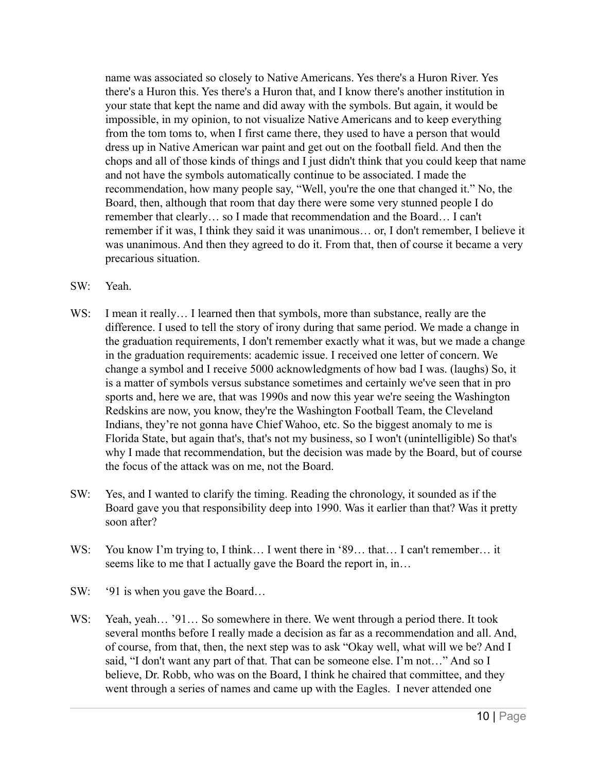name was associated so closely to Native Americans. Yes there's a Huron River. Yes there's a Huron this. Yes there's a Huron that, and I know there's another institution in your state that kept the name and did away with the symbols. But again, it would be impossible, in my opinion, to not visualize Native Americans and to keep everything from the tom toms to, when I first came there, they used to have a person that would dress up in Native American war paint and get out on the football field. And then the chops and all of those kinds of things and I just didn't think that you could keep that name and not have the symbols automatically continue to be associated. I made the recommendation, how many people say, "Well, you're the one that changed it." No, the Board, then, although that room that day there were some very stunned people I do remember that clearly… so I made that recommendation and the Board… I can't remember if it was, I think they said it was unanimous… or, I don't remember, I believe it was unanimous. And then they agreed to do it. From that, then of course it became a very precarious situation.

- SW: Yeah.
- WS: I mean it really... I learned then that symbols, more than substance, really are the difference. I used to tell the story of irony during that same period. We made a change in the graduation requirements, I don't remember exactly what it was, but we made a change in the graduation requirements: academic issue. I received one letter of concern. We change a symbol and I receive 5000 acknowledgments of how bad I was. (laughs) So, it is a matter of symbols versus substance sometimes and certainly we've seen that in pro sports and, here we are, that was 1990s and now this year we're seeing the Washington Redskins are now, you know, they're the Washington Football Team, the Cleveland Indians, they're not gonna have Chief Wahoo, etc. So the biggest anomaly to me is Florida State, but again that's, that's not my business, so I won't (unintelligible) So that's why I made that recommendation, but the decision was made by the Board, but of course the focus of the attack was on me, not the Board.
- SW: Yes, and I wanted to clarify the timing. Reading the chronology, it sounded as if the Board gave you that responsibility deep into 1990. Was it earlier than that? Was it pretty soon after?
- WS: You know I'm trying to, I think... I went there in '89... that... I can't remember... it seems like to me that I actually gave the Board the report in, in…
- SW: '91 is when you gave the Board...
- WS: Yeah, yeah... '91... So somewhere in there. We went through a period there. It took several months before I really made a decision as far as a recommendation and all. And, of course, from that, then, the next step was to ask "Okay well, what will we be? And I said, "I don't want any part of that. That can be someone else. I'm not…" And so I believe, Dr. Robb, who was on the Board, I think he chaired that committee, and they went through a series of names and came up with the Eagles. I never attended one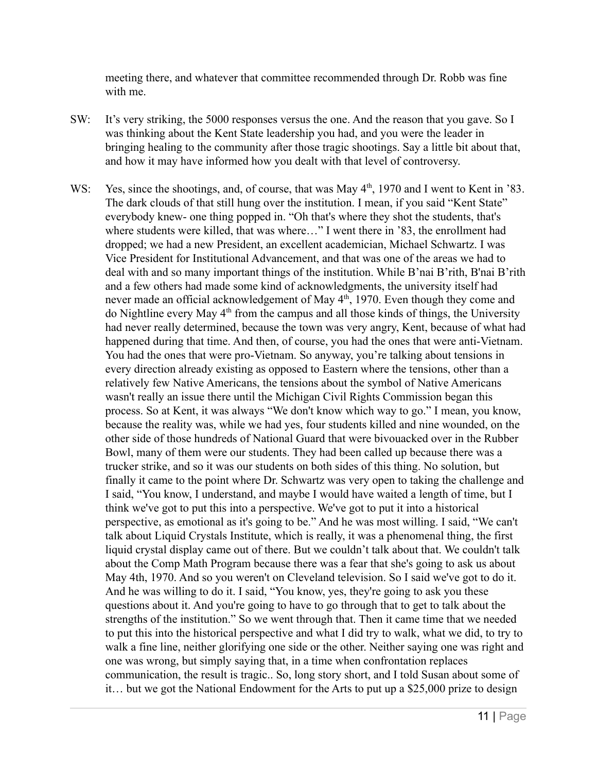meeting there, and whatever that committee recommended through Dr. Robb was fine with me.

- SW: It's very striking, the 5000 responses versus the one. And the reason that you gave. So I was thinking about the Kent State leadership you had, and you were the leader in bringing healing to the community after those tragic shootings. Say a little bit about that, and how it may have informed how you dealt with that level of controversy.
- WS: Yes, since the shootings, and, of course, that was May  $4<sup>th</sup>$ , 1970 and I went to Kent in '83. The dark clouds of that still hung over the institution. I mean, if you said "Kent State" everybody knew- one thing popped in. "Oh that's where they shot the students, that's where students were killed, that was where…" I went there in '83, the enrollment had dropped; we had a new President, an excellent academician, Michael Schwartz. I was Vice President for Institutional Advancement, and that was one of the areas we had to deal with and so many important things of the institution. While B'nai B'rith, B'nai B'rith and a few others had made some kind of acknowledgments, the university itself had never made an official acknowledgement of May  $4<sup>th</sup>$ , 1970. Even though they come and do Nightline every May 4<sup>th</sup> from the campus and all those kinds of things, the University had never really determined, because the town was very angry, Kent, because of what had happened during that time. And then, of course, you had the ones that were anti-Vietnam. You had the ones that were pro-Vietnam. So anyway, you're talking about tensions in every direction already existing as opposed to Eastern where the tensions, other than a relatively few Native Americans, the tensions about the symbol of Native Americans wasn't really an issue there until the Michigan Civil Rights Commission began this process. So at Kent, it was always "We don't know which way to go." I mean, you know, because the reality was, while we had yes, four students killed and nine wounded, on the other side of those hundreds of National Guard that were bivouacked over in the Rubber Bowl, many of them were our students. They had been called up because there was a trucker strike, and so it was our students on both sides of this thing. No solution, but finally it came to the point where Dr. Schwartz was very open to taking the challenge and I said, "You know, I understand, and maybe I would have waited a length of time, but I think we've got to put this into a perspective. We've got to put it into a historical perspective, as emotional as it's going to be." And he was most willing. I said, "We can't talk about Liquid Crystals Institute, which is really, it was a phenomenal thing, the first liquid crystal display came out of there. But we couldn't talk about that. We couldn't talk about the Comp Math Program because there was a fear that she's going to ask us about May 4th, 1970. And so you weren't on Cleveland television. So I said we've got to do it. And he was willing to do it. I said, "You know, yes, they're going to ask you these questions about it. And you're going to have to go through that to get to talk about the strengths of the institution." So we went through that. Then it came time that we needed to put this into the historical perspective and what I did try to walk, what we did, to try to walk a fine line, neither glorifying one side or the other. Neither saying one was right and one was wrong, but simply saying that, in a time when confrontation replaces communication, the result is tragic.. So, long story short, and I told Susan about some of it… but we got the National Endowment for the Arts to put up a \$25,000 prize to design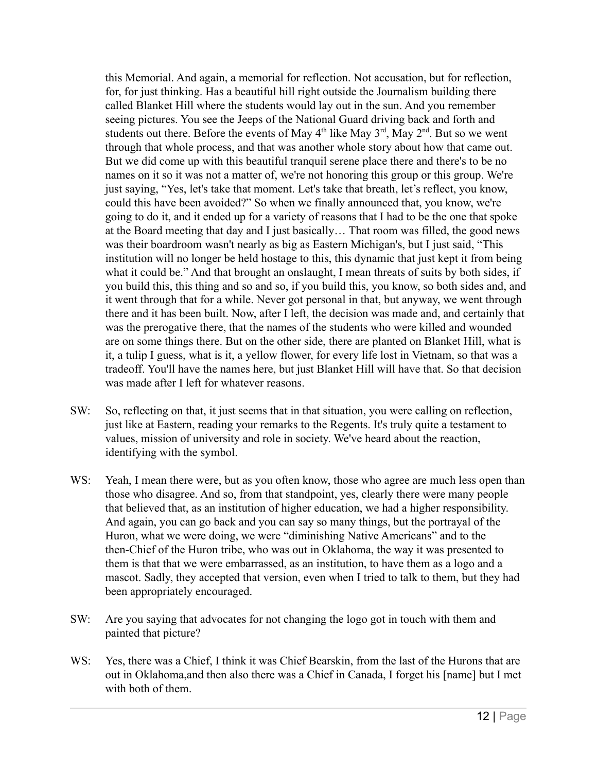this Memorial. And again, a memorial for reflection. Not accusation, but for reflection, for, for just thinking. Has a beautiful hill right outside the Journalism building there called Blanket Hill where the students would lay out in the sun. And you remember seeing pictures. You see the Jeeps of the National Guard driving back and forth and students out there. Before the events of May  $4<sup>th</sup>$  like May  $3<sup>rd</sup>$ , May  $2<sup>nd</sup>$ . But so we went through that whole process, and that was another whole story about how that came out. But we did come up with this beautiful tranquil serene place there and there's to be no names on it so it was not a matter of, we're not honoring this group or this group. We're just saying, "Yes, let's take that moment. Let's take that breath, let's reflect, you know, could this have been avoided?" So when we finally announced that, you know, we're going to do it, and it ended up for a variety of reasons that I had to be the one that spoke at the Board meeting that day and I just basically… That room was filled, the good news was their boardroom wasn't nearly as big as Eastern Michigan's, but I just said, "This institution will no longer be held hostage to this, this dynamic that just kept it from being what it could be." And that brought an onslaught, I mean threats of suits by both sides, if you build this, this thing and so and so, if you build this, you know, so both sides and, and it went through that for a while. Never got personal in that, but anyway, we went through there and it has been built. Now, after I left, the decision was made and, and certainly that was the prerogative there, that the names of the students who were killed and wounded are on some things there. But on the other side, there are planted on Blanket Hill, what is it, a tulip I guess, what is it, a yellow flower, for every life lost in Vietnam, so that was a tradeoff. You'll have the names here, but just Blanket Hill will have that. So that decision was made after I left for whatever reasons.

- SW: So, reflecting on that, it just seems that in that situation, you were calling on reflection, just like at Eastern, reading your remarks to the Regents. It's truly quite a testament to values, mission of university and role in society. We've heard about the reaction, identifying with the symbol.
- WS: Yeah, I mean there were, but as you often know, those who agree are much less open than those who disagree. And so, from that standpoint, yes, clearly there were many people that believed that, as an institution of higher education, we had a higher responsibility. And again, you can go back and you can say so many things, but the portrayal of the Huron, what we were doing, we were "diminishing Native Americans" and to the then-Chief of the Huron tribe, who was out in Oklahoma, the way it was presented to them is that that we were embarrassed, as an institution, to have them as a logo and a mascot. Sadly, they accepted that version, even when I tried to talk to them, but they had been appropriately encouraged.
- SW: Are you saying that advocates for not changing the logo got in touch with them and painted that picture?
- WS: Yes, there was a Chief, I think it was Chief Bearskin, from the last of the Hurons that are out in Oklahoma,and then also there was a Chief in Canada, I forget his [name] but I met with both of them.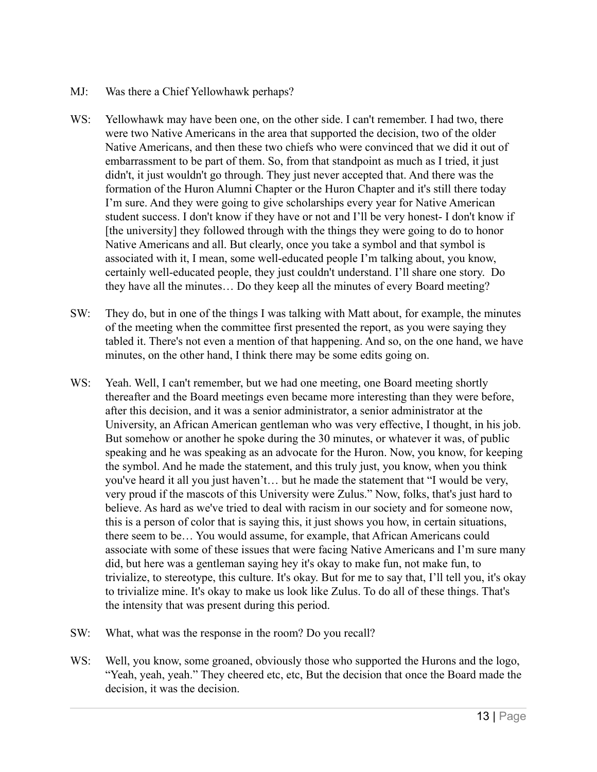- MJ: Was there a Chief Yellowhawk perhaps?
- WS: Yellowhawk may have been one, on the other side. I can't remember. I had two, there were two Native Americans in the area that supported the decision, two of the older Native Americans, and then these two chiefs who were convinced that we did it out of embarrassment to be part of them. So, from that standpoint as much as I tried, it just didn't, it just wouldn't go through. They just never accepted that. And there was the formation of the Huron Alumni Chapter or the Huron Chapter and it's still there today I'm sure. And they were going to give scholarships every year for Native American student success. I don't know if they have or not and I'll be very honest- I don't know if [the university] they followed through with the things they were going to do to honor Native Americans and all. But clearly, once you take a symbol and that symbol is associated with it, I mean, some well-educated people I'm talking about, you know, certainly well-educated people, they just couldn't understand. I'll share one story. Do they have all the minutes… Do they keep all the minutes of every Board meeting?
- SW: They do, but in one of the things I was talking with Matt about, for example, the minutes of the meeting when the committee first presented the report, as you were saying they tabled it. There's not even a mention of that happening. And so, on the one hand, we have minutes, on the other hand, I think there may be some edits going on.
- WS: Yeah. Well, I can't remember, but we had one meeting, one Board meeting shortly thereafter and the Board meetings even became more interesting than they were before, after this decision, and it was a senior administrator, a senior administrator at the University, an African American gentleman who was very effective, I thought, in his job. But somehow or another he spoke during the 30 minutes, or whatever it was, of public speaking and he was speaking as an advocate for the Huron. Now, you know, for keeping the symbol. And he made the statement, and this truly just, you know, when you think you've heard it all you just haven't… but he made the statement that "I would be very, very proud if the mascots of this University were Zulus." Now, folks, that's just hard to believe. As hard as we've tried to deal with racism in our society and for someone now, this is a person of color that is saying this, it just shows you how, in certain situations, there seem to be… You would assume, for example, that African Americans could associate with some of these issues that were facing Native Americans and I'm sure many did, but here was a gentleman saying hey it's okay to make fun, not make fun, to trivialize, to stereotype, this culture. It's okay. But for me to say that, I'll tell you, it's okay to trivialize mine. It's okay to make us look like Zulus. To do all of these things. That's the intensity that was present during this period.
- SW: What, what was the response in the room? Do you recall?
- WS: Well, you know, some groaned, obviously those who supported the Hurons and the logo, "Yeah, yeah, yeah." They cheered etc, etc, But the decision that once the Board made the decision, it was the decision.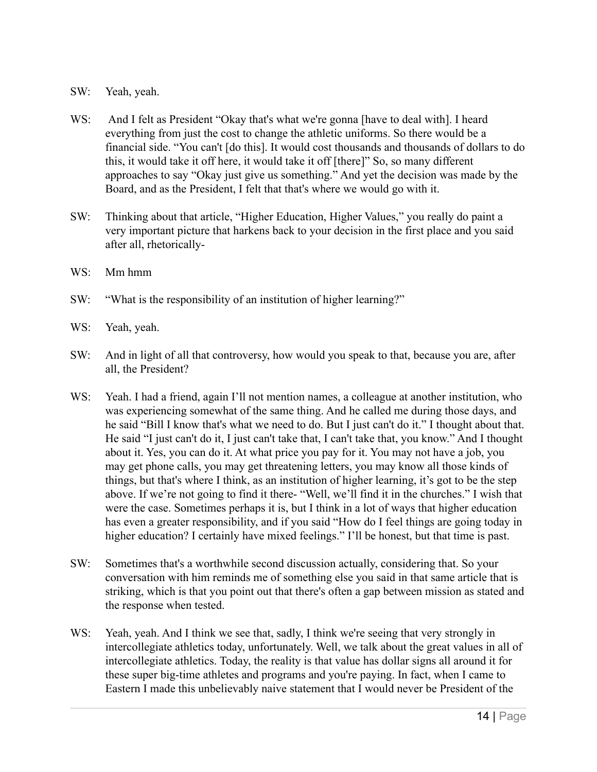- SW: Yeah, yeah.
- WS: And I felt as President "Okay that's what we're gonna [have to deal with]. I heard everything from just the cost to change the athletic uniforms. So there would be a financial side. "You can't [do this]. It would cost thousands and thousands of dollars to do this, it would take it off here, it would take it off [there]" So, so many different approaches to say "Okay just give us something." And yet the decision was made by the Board, and as the President, I felt that that's where we would go with it.
- SW: Thinking about that article, "Higher Education, Higher Values," you really do paint a very important picture that harkens back to your decision in the first place and you said after all, rhetorically-
- WS: Mm hmm
- SW: "What is the responsibility of an institution of higher learning?"
- WS: Yeah, yeah.
- SW: And in light of all that controversy, how would you speak to that, because you are, after all, the President?
- WS: Yeah. I had a friend, again I'll not mention names, a colleague at another institution, who was experiencing somewhat of the same thing. And he called me during those days, and he said "Bill I know that's what we need to do. But I just can't do it." I thought about that. He said "I just can't do it, I just can't take that, I can't take that, you know." And I thought about it. Yes, you can do it. At what price you pay for it. You may not have a job, you may get phone calls, you may get threatening letters, you may know all those kinds of things, but that's where I think, as an institution of higher learning, it's got to be the step above. If we're not going to find it there- "Well, we'll find it in the churches." I wish that were the case. Sometimes perhaps it is, but I think in a lot of ways that higher education has even a greater responsibility, and if you said "How do I feel things are going today in higher education? I certainly have mixed feelings." I'll be honest, but that time is past.
- SW: Sometimes that's a worthwhile second discussion actually, considering that. So your conversation with him reminds me of something else you said in that same article that is striking, which is that you point out that there's often a gap between mission as stated and the response when tested.
- WS: Yeah, yeah. And I think we see that, sadly, I think we're seeing that very strongly in intercollegiate athletics today, unfortunately. Well, we talk about the great values in all of intercollegiate athletics. Today, the reality is that value has dollar signs all around it for these super big-time athletes and programs and you're paying. In fact, when I came to Eastern I made this unbelievably naive statement that I would never be President of the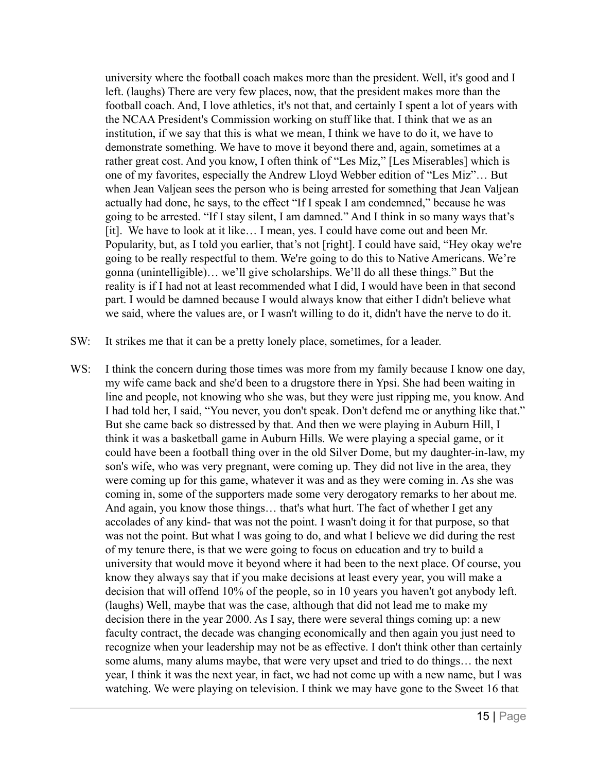university where the football coach makes more than the president. Well, it's good and I left. (laughs) There are very few places, now, that the president makes more than the football coach. And, I love athletics, it's not that, and certainly I spent a lot of years with the NCAA President's Commission working on stuff like that. I think that we as an institution, if we say that this is what we mean, I think we have to do it, we have to demonstrate something. We have to move it beyond there and, again, sometimes at a rather great cost. And you know, I often think of "Les Miz," [Les Miserables] which is one of my favorites, especially the Andrew Lloyd Webber edition of "Les Miz"… But when Jean Valjean sees the person who is being arrested for something that Jean Valjean actually had done, he says, to the effect "If I speak I am condemned," because he was going to be arrested. "If I stay silent, I am damned." And I think in so many ways that's [it]. We have to look at it like… I mean, yes. I could have come out and been Mr. Popularity, but, as I told you earlier, that's not [right]. I could have said, "Hey okay we're going to be really respectful to them. We're going to do this to Native Americans. We're gonna (unintelligible)… we'll give scholarships. We'll do all these things." But the reality is if I had not at least recommended what I did, I would have been in that second part. I would be damned because I would always know that either I didn't believe what we said, where the values are, or I wasn't willing to do it, didn't have the nerve to do it.

- SW: It strikes me that it can be a pretty lonely place, sometimes, for a leader.
- WS: I think the concern during those times was more from my family because I know one day, my wife came back and she'd been to a drugstore there in Ypsi. She had been waiting in line and people, not knowing who she was, but they were just ripping me, you know. And I had told her, I said, "You never, you don't speak. Don't defend me or anything like that." But she came back so distressed by that. And then we were playing in Auburn Hill, I think it was a basketball game in Auburn Hills. We were playing a special game, or it could have been a football thing over in the old Silver Dome, but my daughter-in-law, my son's wife, who was very pregnant, were coming up. They did not live in the area, they were coming up for this game, whatever it was and as they were coming in. As she was coming in, some of the supporters made some very derogatory remarks to her about me. And again, you know those things… that's what hurt. The fact of whether I get any accolades of any kind- that was not the point. I wasn't doing it for that purpose, so that was not the point. But what I was going to do, and what I believe we did during the rest of my tenure there, is that we were going to focus on education and try to build a university that would move it beyond where it had been to the next place. Of course, you know they always say that if you make decisions at least every year, you will make a decision that will offend 10% of the people, so in 10 years you haven't got anybody left. (laughs) Well, maybe that was the case, although that did not lead me to make my decision there in the year 2000. As I say, there were several things coming up: a new faculty contract, the decade was changing economically and then again you just need to recognize when your leadership may not be as effective. I don't think other than certainly some alums, many alums maybe, that were very upset and tried to do things… the next year, I think it was the next year, in fact, we had not come up with a new name, but I was watching. We were playing on television. I think we may have gone to the Sweet 16 that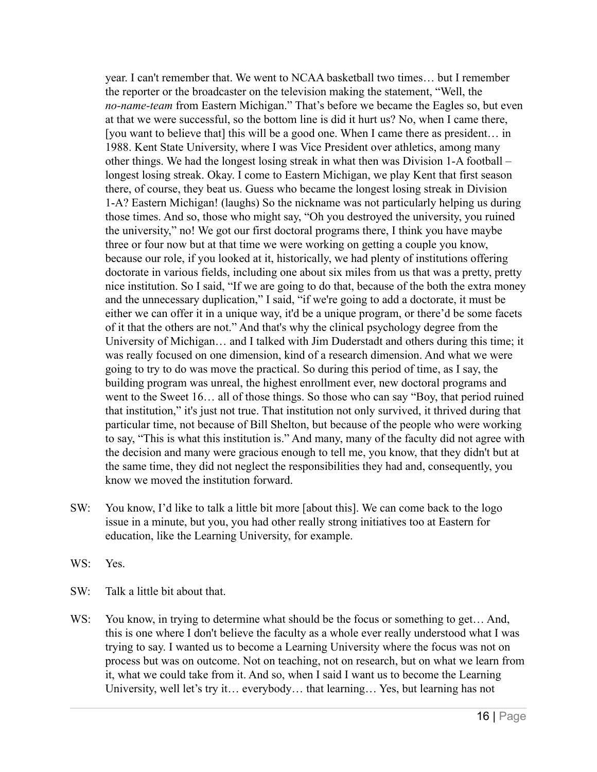year. I can't remember that. We went to NCAA basketball two times… but I remember the reporter or the broadcaster on the television making the statement, "Well, the *no-name-team* from Eastern Michigan." That's before we became the Eagles so, but even at that we were successful, so the bottom line is did it hurt us? No, when I came there, [you want to believe that] this will be a good one. When I came there as president... in 1988. Kent State University, where I was Vice President over athletics, among many other things. We had the longest losing streak in what then was Division 1-A football – longest losing streak. Okay. I come to Eastern Michigan, we play Kent that first season there, of course, they beat us. Guess who became the longest losing streak in Division 1-A? Eastern Michigan! (laughs) So the nickname was not particularly helping us during those times. And so, those who might say, "Oh you destroyed the university, you ruined the university," no! We got our first doctoral programs there, I think you have maybe three or four now but at that time we were working on getting a couple you know, because our role, if you looked at it, historically, we had plenty of institutions offering doctorate in various fields, including one about six miles from us that was a pretty, pretty nice institution. So I said, "If we are going to do that, because of the both the extra money and the unnecessary duplication," I said, "if we're going to add a doctorate, it must be either we can offer it in a unique way, it'd be a unique program, or there'd be some facets of it that the others are not." And that's why the clinical psychology degree from the University of Michigan… and I talked with Jim Duderstadt and others during this time; it was really focused on one dimension, kind of a research dimension. And what we were going to try to do was move the practical. So during this period of time, as I say, the building program was unreal, the highest enrollment ever, new doctoral programs and went to the Sweet 16… all of those things. So those who can say "Boy, that period ruined that institution," it's just not true. That institution not only survived, it thrived during that particular time, not because of Bill Shelton, but because of the people who were working to say, "This is what this institution is." And many, many of the faculty did not agree with the decision and many were gracious enough to tell me, you know, that they didn't but at the same time, they did not neglect the responsibilities they had and, consequently, you know we moved the institution forward.

- SW: You know, I'd like to talk a little bit more [about this]. We can come back to the logo issue in a minute, but you, you had other really strong initiatives too at Eastern for education, like the Learning University, for example.
- WS: Yes.
- SW: Talk a little bit about that.
- WS: You know, in trying to determine what should be the focus or something to get... And, this is one where I don't believe the faculty as a whole ever really understood what I was trying to say. I wanted us to become a Learning University where the focus was not on process but was on outcome. Not on teaching, not on research, but on what we learn from it, what we could take from it. And so, when I said I want us to become the Learning University, well let's try it… everybody… that learning… Yes, but learning has not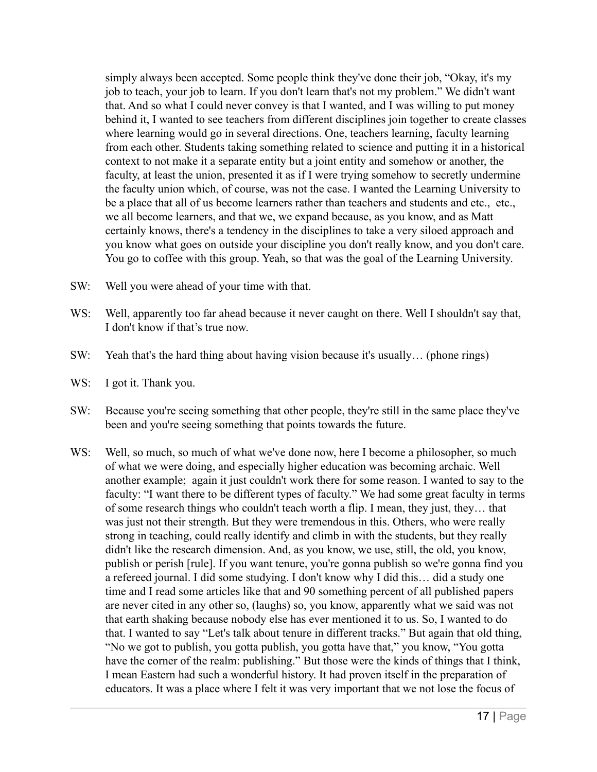simply always been accepted. Some people think they've done their job, "Okay, it's my job to teach, your job to learn. If you don't learn that's not my problem." We didn't want that. And so what I could never convey is that I wanted, and I was willing to put money behind it, I wanted to see teachers from different disciplines join together to create classes where learning would go in several directions. One, teachers learning, faculty learning from each other. Students taking something related to science and putting it in a historical context to not make it a separate entity but a joint entity and somehow or another, the faculty, at least the union, presented it as if I were trying somehow to secretly undermine the faculty union which, of course, was not the case. I wanted the Learning University to be a place that all of us become learners rather than teachers and students and etc., etc., we all become learners, and that we, we expand because, as you know, and as Matt certainly knows, there's a tendency in the disciplines to take a very siloed approach and you know what goes on outside your discipline you don't really know, and you don't care. You go to coffee with this group. Yeah, so that was the goal of the Learning University.

- SW: Well you were ahead of your time with that.
- WS: Well, apparently too far ahead because it never caught on there. Well I shouldn't say that, I don't know if that's true now.
- SW: Yeah that's the hard thing about having vision because it's usually… (phone rings)
- WS: I got it. Thank you.
- SW: Because you're seeing something that other people, they're still in the same place they've been and you're seeing something that points towards the future.
- WS: Well, so much, so much of what we've done now, here I become a philosopher, so much of what we were doing, and especially higher education was becoming archaic. Well another example; again it just couldn't work there for some reason. I wanted to say to the faculty: "I want there to be different types of faculty." We had some great faculty in terms of some research things who couldn't teach worth a flip. I mean, they just, they… that was just not their strength. But they were tremendous in this. Others, who were really strong in teaching, could really identify and climb in with the students, but they really didn't like the research dimension. And, as you know, we use, still, the old, you know, publish or perish [rule]. If you want tenure, you're gonna publish so we're gonna find you a refereed journal. I did some studying. I don't know why I did this… did a study one time and I read some articles like that and 90 something percent of all published papers are never cited in any other so, (laughs) so, you know, apparently what we said was not that earth shaking because nobody else has ever mentioned it to us. So, I wanted to do that. I wanted to say "Let's talk about tenure in different tracks." But again that old thing, "No we got to publish, you gotta publish, you gotta have that," you know, "You gotta have the corner of the realm: publishing." But those were the kinds of things that I think, I mean Eastern had such a wonderful history. It had proven itself in the preparation of educators. It was a place where I felt it was very important that we not lose the focus of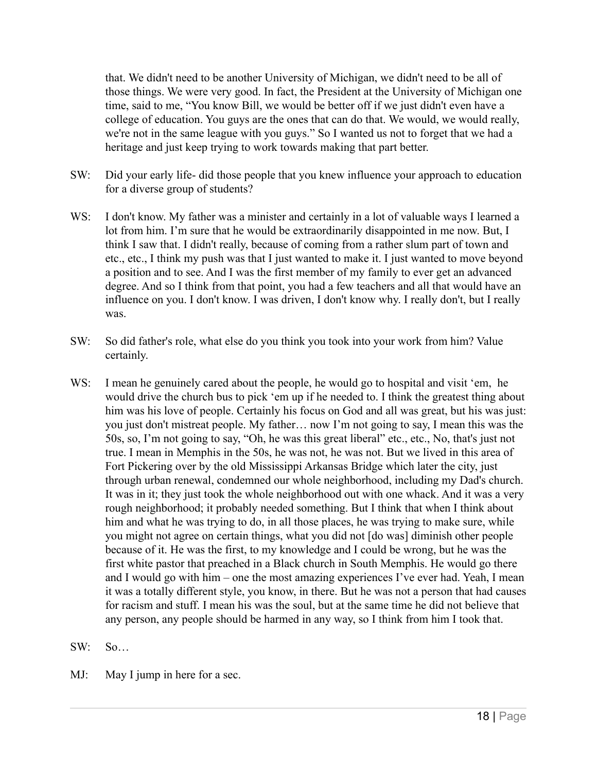that. We didn't need to be another University of Michigan, we didn't need to be all of those things. We were very good. In fact, the President at the University of Michigan one time, said to me, "You know Bill, we would be better off if we just didn't even have a college of education. You guys are the ones that can do that. We would, we would really, we're not in the same league with you guys." So I wanted us not to forget that we had a heritage and just keep trying to work towards making that part better.

- SW: Did your early life- did those people that you knew influence your approach to education for a diverse group of students?
- WS: I don't know. My father was a minister and certainly in a lot of valuable ways I learned a lot from him. I'm sure that he would be extraordinarily disappointed in me now. But, I think I saw that. I didn't really, because of coming from a rather slum part of town and etc., etc., I think my push was that I just wanted to make it. I just wanted to move beyond a position and to see. And I was the first member of my family to ever get an advanced degree. And so I think from that point, you had a few teachers and all that would have an influence on you. I don't know. I was driven, I don't know why. I really don't, but I really was.
- SW: So did father's role, what else do you think you took into your work from him? Value certainly.
- WS: I mean he genuinely cared about the people, he would go to hospital and visit 'em, he would drive the church bus to pick 'em up if he needed to. I think the greatest thing about him was his love of people. Certainly his focus on God and all was great, but his was just: you just don't mistreat people. My father… now I'm not going to say, I mean this was the 50s, so, I'm not going to say, "Oh, he was this great liberal" etc., etc., No, that's just not true. I mean in Memphis in the 50s, he was not, he was not. But we lived in this area of Fort Pickering over by the old Mississippi Arkansas Bridge which later the city, just through urban renewal, condemned our whole neighborhood, including my Dad's church. It was in it; they just took the whole neighborhood out with one whack. And it was a very rough neighborhood; it probably needed something. But I think that when I think about him and what he was trying to do, in all those places, he was trying to make sure, while you might not agree on certain things, what you did not [do was] diminish other people because of it. He was the first, to my knowledge and I could be wrong, but he was the first white pastor that preached in a Black church in South Memphis. He would go there and I would go with him – one the most amazing experiences I've ever had. Yeah, I mean it was a totally different style, you know, in there. But he was not a person that had causes for racism and stuff. I mean his was the soul, but at the same time he did not believe that any person, any people should be harmed in any way, so I think from him I took that.
- SW: So…
- MJ: May I jump in here for a sec.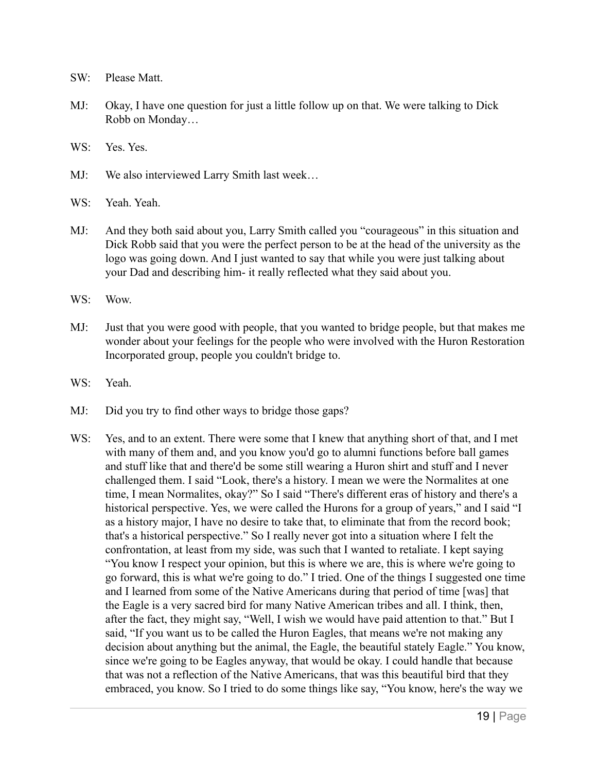- SW: Please Matt.
- MJ: Okay, I have one question for just a little follow up on that. We were talking to Dick Robb on Monday…
- WS<sup>.</sup> Yes. Yes.
- MJ: We also interviewed Larry Smith last week…
- WS: Yeah. Yeah.
- MJ: And they both said about you, Larry Smith called you "courageous" in this situation and Dick Robb said that you were the perfect person to be at the head of the university as the logo was going down. And I just wanted to say that while you were just talking about your Dad and describing him- it really reflected what they said about you.
- WS: Wow.
- MJ: Just that you were good with people, that you wanted to bridge people, but that makes me wonder about your feelings for the people who were involved with the Huron Restoration Incorporated group, people you couldn't bridge to.
- WS: Yeah.
- MJ: Did you try to find other ways to bridge those gaps?
- WS: Yes, and to an extent. There were some that I knew that anything short of that, and I met with many of them and, and you know you'd go to alumni functions before ball games and stuff like that and there'd be some still wearing a Huron shirt and stuff and I never challenged them. I said "Look, there's a history. I mean we were the Normalites at one time, I mean Normalites, okay?" So I said "There's different eras of history and there's a historical perspective. Yes, we were called the Hurons for a group of years," and I said "I as a history major, I have no desire to take that, to eliminate that from the record book; that's a historical perspective." So I really never got into a situation where I felt the confrontation, at least from my side, was such that I wanted to retaliate. I kept saying "You know I respect your opinion, but this is where we are, this is where we're going to go forward, this is what we're going to do." I tried. One of the things I suggested one time and I learned from some of the Native Americans during that period of time [was] that the Eagle is a very sacred bird for many Native American tribes and all. I think, then, after the fact, they might say, "Well, I wish we would have paid attention to that." But I said, "If you want us to be called the Huron Eagles, that means we're not making any decision about anything but the animal, the Eagle, the beautiful stately Eagle." You know, since we're going to be Eagles anyway, that would be okay. I could handle that because that was not a reflection of the Native Americans, that was this beautiful bird that they embraced, you know. So I tried to do some things like say, "You know, here's the way we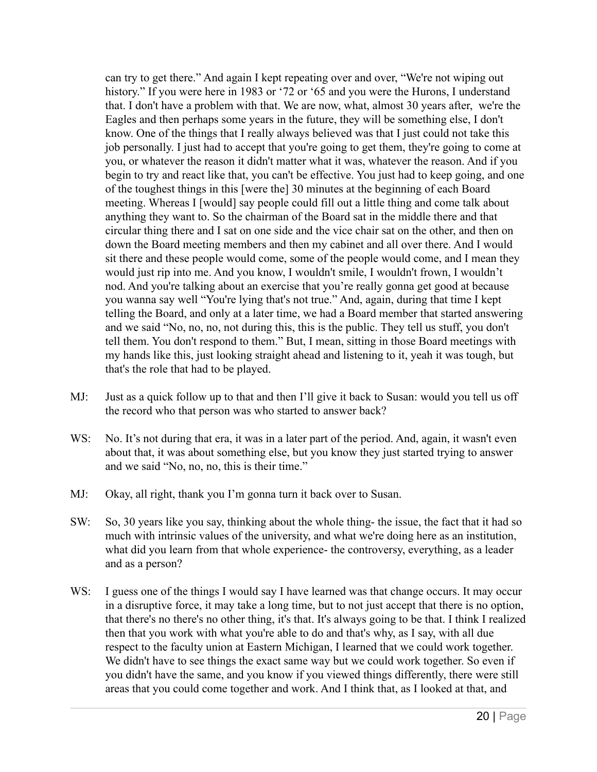can try to get there." And again I kept repeating over and over, "We're not wiping out history." If you were here in 1983 or '72 or '65 and you were the Hurons, I understand that. I don't have a problem with that. We are now, what, almost 30 years after, we're the Eagles and then perhaps some years in the future, they will be something else, I don't know. One of the things that I really always believed was that I just could not take this job personally. I just had to accept that you're going to get them, they're going to come at you, or whatever the reason it didn't matter what it was, whatever the reason. And if you begin to try and react like that, you can't be effective. You just had to keep going, and one of the toughest things in this [were the] 30 minutes at the beginning of each Board meeting. Whereas I [would] say people could fill out a little thing and come talk about anything they want to. So the chairman of the Board sat in the middle there and that circular thing there and I sat on one side and the vice chair sat on the other, and then on down the Board meeting members and then my cabinet and all over there. And I would sit there and these people would come, some of the people would come, and I mean they would just rip into me. And you know, I wouldn't smile, I wouldn't frown, I wouldn't nod. And you're talking about an exercise that you're really gonna get good at because you wanna say well "You're lying that's not true." And, again, during that time I kept telling the Board, and only at a later time, we had a Board member that started answering and we said "No, no, no, not during this, this is the public. They tell us stuff, you don't tell them. You don't respond to them." But, I mean, sitting in those Board meetings with my hands like this, just looking straight ahead and listening to it, yeah it was tough, but that's the role that had to be played.

- MJ: Just as a quick follow up to that and then I'll give it back to Susan: would you tell us off the record who that person was who started to answer back?
- WS: No. It's not during that era, it was in a later part of the period. And, again, it wasn't even about that, it was about something else, but you know they just started trying to answer and we said "No, no, no, this is their time."
- MJ: Okay, all right, thank you I'm gonna turn it back over to Susan.
- SW: So, 30 years like you say, thinking about the whole thing- the issue, the fact that it had so much with intrinsic values of the university, and what we're doing here as an institution, what did you learn from that whole experience- the controversy, everything, as a leader and as a person?
- WS: I guess one of the things I would say I have learned was that change occurs. It may occur in a disruptive force, it may take a long time, but to not just accept that there is no option, that there's no there's no other thing, it's that. It's always going to be that. I think I realized then that you work with what you're able to do and that's why, as I say, with all due respect to the faculty union at Eastern Michigan, I learned that we could work together. We didn't have to see things the exact same way but we could work together. So even if you didn't have the same, and you know if you viewed things differently, there were still areas that you could come together and work. And I think that, as I looked at that, and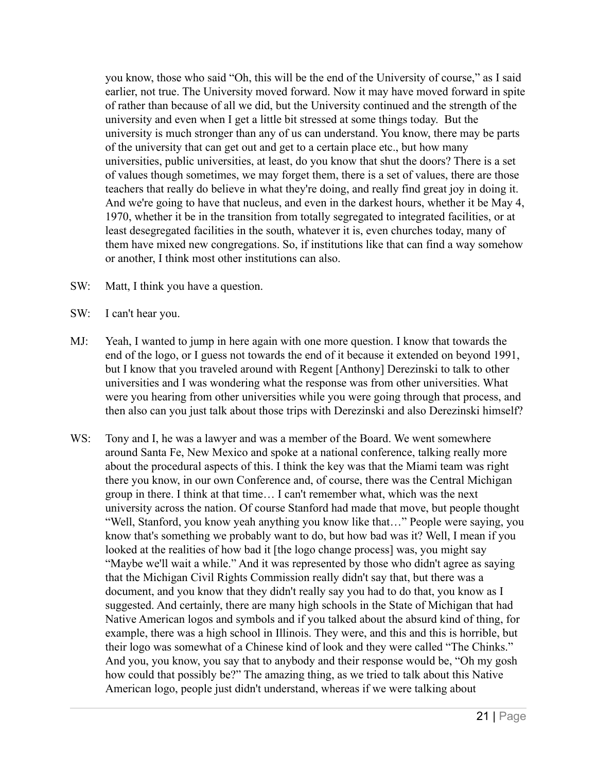you know, those who said "Oh, this will be the end of the University of course," as I said earlier, not true. The University moved forward. Now it may have moved forward in spite of rather than because of all we did, but the University continued and the strength of the university and even when I get a little bit stressed at some things today. But the university is much stronger than any of us can understand. You know, there may be parts of the university that can get out and get to a certain place etc., but how many universities, public universities, at least, do you know that shut the doors? There is a set of values though sometimes, we may forget them, there is a set of values, there are those teachers that really do believe in what they're doing, and really find great joy in doing it. And we're going to have that nucleus, and even in the darkest hours, whether it be May 4, 1970, whether it be in the transition from totally segregated to integrated facilities, or at least desegregated facilities in the south, whatever it is, even churches today, many of them have mixed new congregations. So, if institutions like that can find a way somehow or another, I think most other institutions can also.

- SW: Matt, I think you have a question.
- SW: I can't hear you.
- MJ: Yeah, I wanted to jump in here again with one more question. I know that towards the end of the logo, or I guess not towards the end of it because it extended on beyond 1991, but I know that you traveled around with Regent [Anthony] Derezinski to talk to other universities and I was wondering what the response was from other universities. What were you hearing from other universities while you were going through that process, and then also can you just talk about those trips with Derezinski and also Derezinski himself?
- WS: Tony and I, he was a lawyer and was a member of the Board. We went somewhere around Santa Fe, New Mexico and spoke at a national conference, talking really more about the procedural aspects of this. I think the key was that the Miami team was right there you know, in our own Conference and, of course, there was the Central Michigan group in there. I think at that time… I can't remember what, which was the next university across the nation. Of course Stanford had made that move, but people thought "Well, Stanford, you know yeah anything you know like that…" People were saying, you know that's something we probably want to do, but how bad was it? Well, I mean if you looked at the realities of how bad it [the logo change process] was, you might say "Maybe we'll wait a while." And it was represented by those who didn't agree as saying that the Michigan Civil Rights Commission really didn't say that, but there was a document, and you know that they didn't really say you had to do that, you know as I suggested. And certainly, there are many high schools in the State of Michigan that had Native American logos and symbols and if you talked about the absurd kind of thing, for example, there was a high school in Illinois. They were, and this and this is horrible, but their logo was somewhat of a Chinese kind of look and they were called "The Chinks." And you, you know, you say that to anybody and their response would be, "Oh my gosh how could that possibly be?" The amazing thing, as we tried to talk about this Native American logo, people just didn't understand, whereas if we were talking about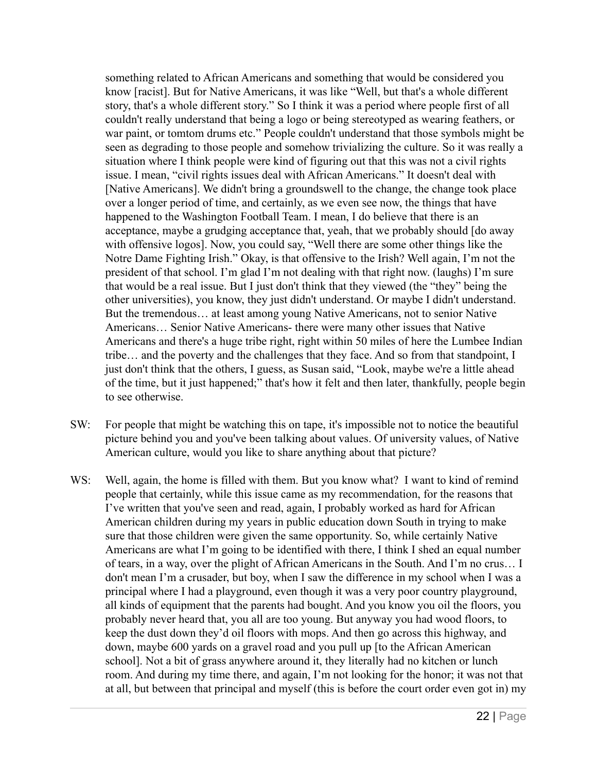something related to African Americans and something that would be considered you know [racist]. But for Native Americans, it was like "Well, but that's a whole different story, that's a whole different story." So I think it was a period where people first of all couldn't really understand that being a logo or being stereotyped as wearing feathers, or war paint, or tomtom drums etc." People couldn't understand that those symbols might be seen as degrading to those people and somehow trivializing the culture. So it was really a situation where I think people were kind of figuring out that this was not a civil rights issue. I mean, "civil rights issues deal with African Americans." It doesn't deal with [Native Americans]. We didn't bring a groundswell to the change, the change took place over a longer period of time, and certainly, as we even see now, the things that have happened to the Washington Football Team. I mean, I do believe that there is an acceptance, maybe a grudging acceptance that, yeah, that we probably should [do away with offensive logos]. Now, you could say, "Well there are some other things like the Notre Dame Fighting Irish." Okay, is that offensive to the Irish? Well again, I'm not the president of that school. I'm glad I'm not dealing with that right now. (laughs) I'm sure that would be a real issue. But I just don't think that they viewed (the "they" being the other universities), you know, they just didn't understand. Or maybe I didn't understand. But the tremendous… at least among young Native Americans, not to senior Native Americans… Senior Native Americans- there were many other issues that Native Americans and there's a huge tribe right, right within 50 miles of here the Lumbee Indian tribe… and the poverty and the challenges that they face. And so from that standpoint, I just don't think that the others, I guess, as Susan said, "Look, maybe we're a little ahead of the time, but it just happened;" that's how it felt and then later, thankfully, people begin to see otherwise.

- SW: For people that might be watching this on tape, it's impossible not to notice the beautiful picture behind you and you've been talking about values. Of university values, of Native American culture, would you like to share anything about that picture?
- WS: Well, again, the home is filled with them. But you know what? I want to kind of remind people that certainly, while this issue came as my recommendation, for the reasons that I've written that you've seen and read, again, I probably worked as hard for African American children during my years in public education down South in trying to make sure that those children were given the same opportunity. So, while certainly Native Americans are what I'm going to be identified with there, I think I shed an equal number of tears, in a way, over the plight of African Americans in the South. And I'm no crus… I don't mean I'm a crusader, but boy, when I saw the difference in my school when I was a principal where I had a playground, even though it was a very poor country playground, all kinds of equipment that the parents had bought. And you know you oil the floors, you probably never heard that, you all are too young. But anyway you had wood floors, to keep the dust down they'd oil floors with mops. And then go across this highway, and down, maybe 600 yards on a gravel road and you pull up [to the African American school]. Not a bit of grass anywhere around it, they literally had no kitchen or lunch room. And during my time there, and again, I'm not looking for the honor; it was not that at all, but between that principal and myself (this is before the court order even got in) my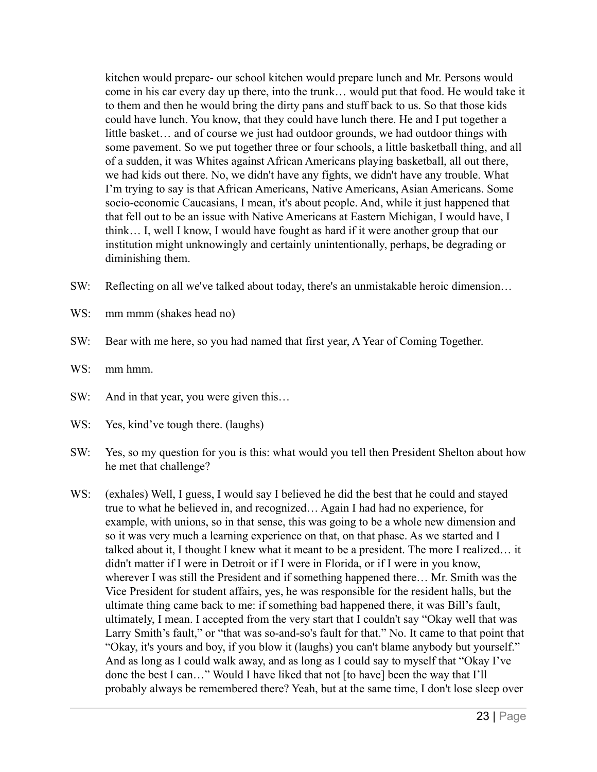kitchen would prepare- our school kitchen would prepare lunch and Mr. Persons would come in his car every day up there, into the trunk… would put that food. He would take it to them and then he would bring the dirty pans and stuff back to us. So that those kids could have lunch. You know, that they could have lunch there. He and I put together a little basket… and of course we just had outdoor grounds, we had outdoor things with some pavement. So we put together three or four schools, a little basketball thing, and all of a sudden, it was Whites against African Americans playing basketball, all out there, we had kids out there. No, we didn't have any fights, we didn't have any trouble. What I'm trying to say is that African Americans, Native Americans, Asian Americans. Some socio-economic Caucasians, I mean, it's about people. And, while it just happened that that fell out to be an issue with Native Americans at Eastern Michigan, I would have, I think… I, well I know, I would have fought as hard if it were another group that our institution might unknowingly and certainly unintentionally, perhaps, be degrading or diminishing them.

- SW: Reflecting on all we've talked about today, there's an unmistakable heroic dimension…
- WS: mm mmm (shakes head no)
- SW: Bear with me here, so you had named that first year, A Year of Coming Together.
- WS: mm hmm.
- SW: And in that year, you were given this...
- WS: Yes, kind've tough there. (laughs)
- SW: Yes, so my question for you is this: what would you tell then President Shelton about how he met that challenge?
- WS: (exhales) Well, I guess, I would say I believed he did the best that he could and stayed true to what he believed in, and recognized… Again I had had no experience, for example, with unions, so in that sense, this was going to be a whole new dimension and so it was very much a learning experience on that, on that phase. As we started and I talked about it, I thought I knew what it meant to be a president. The more I realized… it didn't matter if I were in Detroit or if I were in Florida, or if I were in you know, wherever I was still the President and if something happened there… Mr. Smith was the Vice President for student affairs, yes, he was responsible for the resident halls, but the ultimate thing came back to me: if something bad happened there, it was Bill's fault, ultimately, I mean. I accepted from the very start that I couldn't say "Okay well that was Larry Smith's fault," or "that was so-and-so's fault for that." No. It came to that point that "Okay, it's yours and boy, if you blow it (laughs) you can't blame anybody but yourself." And as long as I could walk away, and as long as I could say to myself that "Okay I've done the best I can…" Would I have liked that not [to have] been the way that I'll probably always be remembered there? Yeah, but at the same time, I don't lose sleep over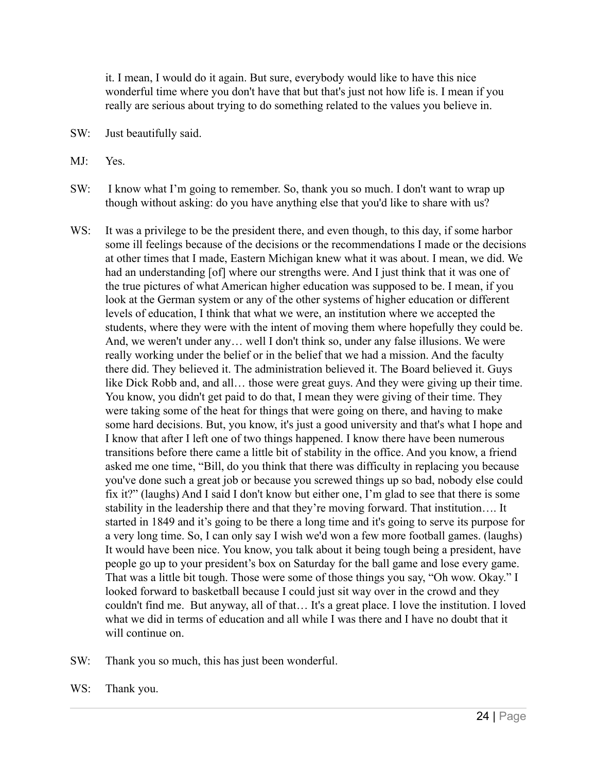it. I mean, I would do it again. But sure, everybody would like to have this nice wonderful time where you don't have that but that's just not how life is. I mean if you really are serious about trying to do something related to the values you believe in.

- SW: Just beautifully said.
- MJ: Yes.
- SW: I know what I'm going to remember. So, thank you so much. I don't want to wrap up though without asking: do you have anything else that you'd like to share with us?
- WS: It was a privilege to be the president there, and even though, to this day, if some harbor some ill feelings because of the decisions or the recommendations I made or the decisions at other times that I made, Eastern Michigan knew what it was about. I mean, we did. We had an understanding [of] where our strengths were. And I just think that it was one of the true pictures of what American higher education was supposed to be. I mean, if you look at the German system or any of the other systems of higher education or different levels of education, I think that what we were, an institution where we accepted the students, where they were with the intent of moving them where hopefully they could be. And, we weren't under any… well I don't think so, under any false illusions. We were really working under the belief or in the belief that we had a mission. And the faculty there did. They believed it. The administration believed it. The Board believed it. Guys like Dick Robb and, and all… those were great guys. And they were giving up their time. You know, you didn't get paid to do that, I mean they were giving of their time. They were taking some of the heat for things that were going on there, and having to make some hard decisions. But, you know, it's just a good university and that's what I hope and I know that after I left one of two things happened. I know there have been numerous transitions before there came a little bit of stability in the office. And you know, a friend asked me one time, "Bill, do you think that there was difficulty in replacing you because you've done such a great job or because you screwed things up so bad, nobody else could fix it?" (laughs) And I said I don't know but either one, I'm glad to see that there is some stability in the leadership there and that they're moving forward. That institution…. It started in 1849 and it's going to be there a long time and it's going to serve its purpose for a very long time. So, I can only say I wish we'd won a few more football games. (laughs) It would have been nice. You know, you talk about it being tough being a president, have people go up to your president's box on Saturday for the ball game and lose every game. That was a little bit tough. Those were some of those things you say, "Oh wow. Okay." I looked forward to basketball because I could just sit way over in the crowd and they couldn't find me. But anyway, all of that… It's a great place. I love the institution. I loved what we did in terms of education and all while I was there and I have no doubt that it will continue on.
- SW: Thank you so much, this has just been wonderful.
- WS: Thank you.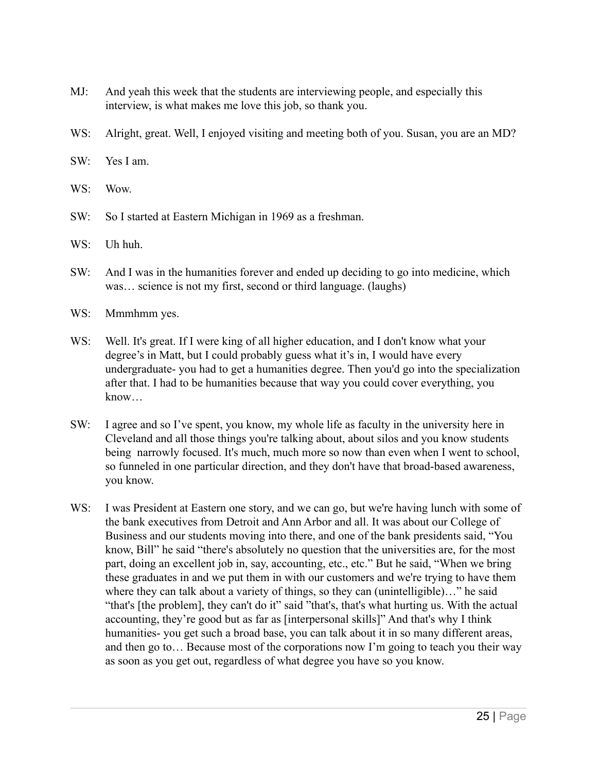- MJ: And yeah this week that the students are interviewing people, and especially this interview, is what makes me love this job, so thank you.
- WS: Alright, great. Well, I enjoyed visiting and meeting both of you. Susan, you are an MD?
- SW: Yes I am.
- WS: Wow.
- SW: So I started at Eastern Michigan in 1969 as a freshman.
- WS: Uh huh.
- SW: And I was in the humanities forever and ended up deciding to go into medicine, which was… science is not my first, second or third language. (laughs)
- WS: Mmmhmm yes.
- WS: Well. It's great. If I were king of all higher education, and I don't know what your degree's in Matt, but I could probably guess what it's in, I would have every undergraduate- you had to get a humanities degree. Then you'd go into the specialization after that. I had to be humanities because that way you could cover everything, you know…
- SW: I agree and so I've spent, you know, my whole life as faculty in the university here in Cleveland and all those things you're talking about, about silos and you know students being narrowly focused. It's much, much more so now than even when I went to school, so funneled in one particular direction, and they don't have that broad-based awareness, you know.
- WS: I was President at Eastern one story, and we can go, but we're having lunch with some of the bank executives from Detroit and Ann Arbor and all. It was about our College of Business and our students moving into there, and one of the bank presidents said, "You know, Bill" he said "there's absolutely no question that the universities are, for the most part, doing an excellent job in, say, accounting, etc., etc." But he said, "When we bring these graduates in and we put them in with our customers and we're trying to have them where they can talk about a variety of things, so they can (unintelligible)..." he said "that's [the problem], they can't do it" said "that's, that's what hurting us. With the actual accounting, they're good but as far as [interpersonal skills]" And that's why I think humanities- you get such a broad base, you can talk about it in so many different areas, and then go to… Because most of the corporations now I'm going to teach you their way as soon as you get out, regardless of what degree you have so you know.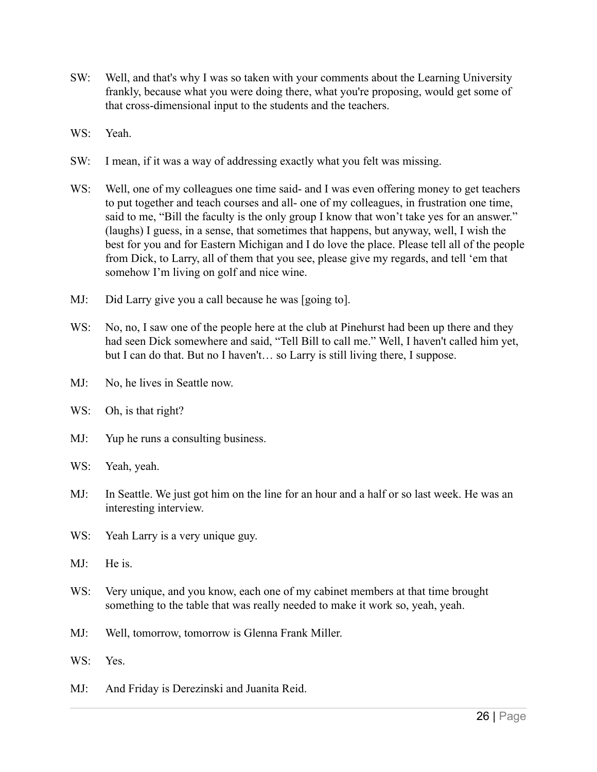- SW: Well, and that's why I was so taken with your comments about the Learning University frankly, because what you were doing there, what you're proposing, would get some of that cross-dimensional input to the students and the teachers.
- WS: Yeah.
- SW: I mean, if it was a way of addressing exactly what you felt was missing.
- WS: Well, one of my colleagues one time said- and I was even offering money to get teachers to put together and teach courses and all- one of my colleagues, in frustration one time, said to me, "Bill the faculty is the only group I know that won't take yes for an answer." (laughs) I guess, in a sense, that sometimes that happens, but anyway, well, I wish the best for you and for Eastern Michigan and I do love the place. Please tell all of the people from Dick, to Larry, all of them that you see, please give my regards, and tell 'em that somehow I'm living on golf and nice wine.
- MJ: Did Larry give you a call because he was [going to].
- WS: No, no, I saw one of the people here at the club at Pinehurst had been up there and they had seen Dick somewhere and said, "Tell Bill to call me." Well, I haven't called him yet, but I can do that. But no I haven't… so Larry is still living there, I suppose.
- MJ: No, he lives in Seattle now.
- WS: Oh, is that right?
- MJ: Yup he runs a consulting business.
- WS: Yeah, yeah.
- MJ: In Seattle. We just got him on the line for an hour and a half or so last week. He was an interesting interview.
- WS: Yeah Larry is a very unique guy.
- MJ: He is.
- WS: Very unique, and you know, each one of my cabinet members at that time brought something to the table that was really needed to make it work so, yeah, yeah.
- MJ: Well, tomorrow, tomorrow is Glenna Frank Miller.
- WS: Yes.
- MJ: And Friday is Derezinski and Juanita Reid.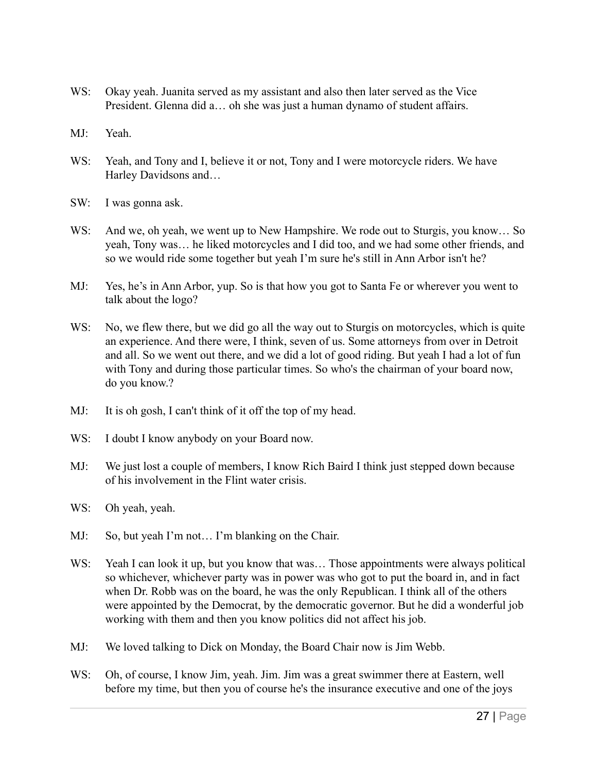- WS: Okay yeah. Juanita served as my assistant and also then later served as the Vice President. Glenna did a… oh she was just a human dynamo of student affairs.
- MJ: Yeah.
- WS: Yeah, and Tony and I, believe it or not, Tony and I were motorcycle riders. We have Harley Davidsons and…
- SW: I was gonna ask.
- WS: And we, oh yeah, we went up to New Hampshire. We rode out to Sturgis, you know... So yeah, Tony was… he liked motorcycles and I did too, and we had some other friends, and so we would ride some together but yeah I'm sure he's still in Ann Arbor isn't he?
- MJ: Yes, he's in Ann Arbor, yup. So is that how you got to Santa Fe or wherever you went to talk about the logo?
- WS: No, we flew there, but we did go all the way out to Sturgis on motorcycles, which is quite an experience. And there were, I think, seven of us. Some attorneys from over in Detroit and all. So we went out there, and we did a lot of good riding. But yeah I had a lot of fun with Tony and during those particular times. So who's the chairman of your board now, do you know.?
- MJ: It is oh gosh, I can't think of it off the top of my head.
- WS: I doubt I know anybody on your Board now.
- MJ: We just lost a couple of members, I know Rich Baird I think just stepped down because of his involvement in the Flint water crisis.
- WS: Oh yeah, yeah.
- MJ: So, but yeah I'm not... I'm blanking on the Chair.
- WS: Yeah I can look it up, but you know that was... Those appointments were always political so whichever, whichever party was in power was who got to put the board in, and in fact when Dr. Robb was on the board, he was the only Republican. I think all of the others were appointed by the Democrat, by the democratic governor. But he did a wonderful job working with them and then you know politics did not affect his job.
- MJ: We loved talking to Dick on Monday, the Board Chair now is Jim Webb.
- WS: Oh, of course, I know Jim, yeah. Jim. Jim was a great swimmer there at Eastern, well before my time, but then you of course he's the insurance executive and one of the joys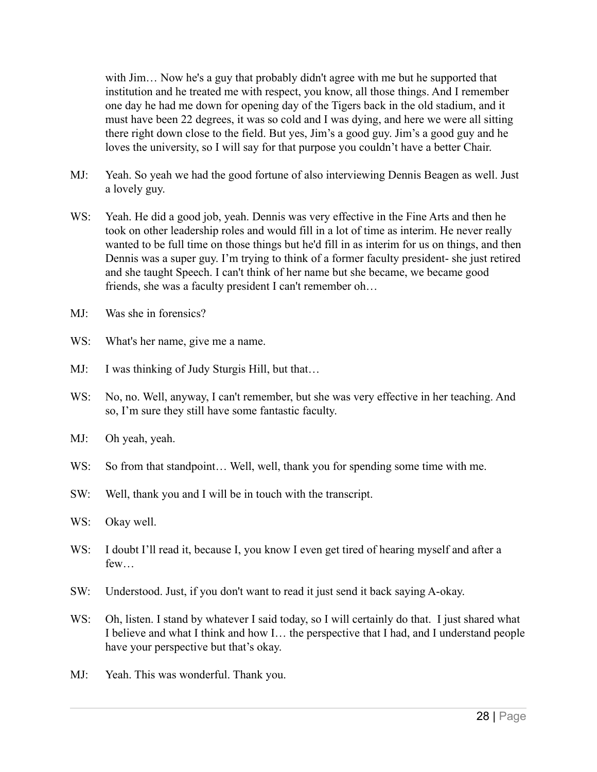with Jim... Now he's a guy that probably didn't agree with me but he supported that institution and he treated me with respect, you know, all those things. And I remember one day he had me down for opening day of the Tigers back in the old stadium, and it must have been 22 degrees, it was so cold and I was dying, and here we were all sitting there right down close to the field. But yes, Jim's a good guy. Jim's a good guy and he loves the university, so I will say for that purpose you couldn't have a better Chair.

- MJ: Yeah. So yeah we had the good fortune of also interviewing Dennis Beagen as well. Just a lovely guy.
- WS: Yeah. He did a good job, yeah. Dennis was very effective in the Fine Arts and then he took on other leadership roles and would fill in a lot of time as interim. He never really wanted to be full time on those things but he'd fill in as interim for us on things, and then Dennis was a super guy. I'm trying to think of a former faculty president- she just retired and she taught Speech. I can't think of her name but she became, we became good friends, she was a faculty president I can't remember oh…
- MJ: Was she in forensics?
- WS: What's her name, give me a name.
- MJ: I was thinking of Judy Sturgis Hill, but that...
- WS: No, no. Well, anyway, I can't remember, but she was very effective in her teaching. And so, I'm sure they still have some fantastic faculty.
- MJ: Oh yeah, yeah.
- WS: So from that standpoint... Well, well, thank you for spending some time with me.
- SW: Well, thank you and I will be in touch with the transcript.
- WS: Okay well.
- WS: I doubt I'll read it, because I, you know I even get tired of hearing myself and after a few…
- SW: Understood. Just, if you don't want to read it just send it back saying A-okay.
- WS: Oh, listen. I stand by whatever I said today, so I will certainly do that. I just shared what I believe and what I think and how I… the perspective that I had, and I understand people have your perspective but that's okay.
- MJ: Yeah. This was wonderful. Thank you.